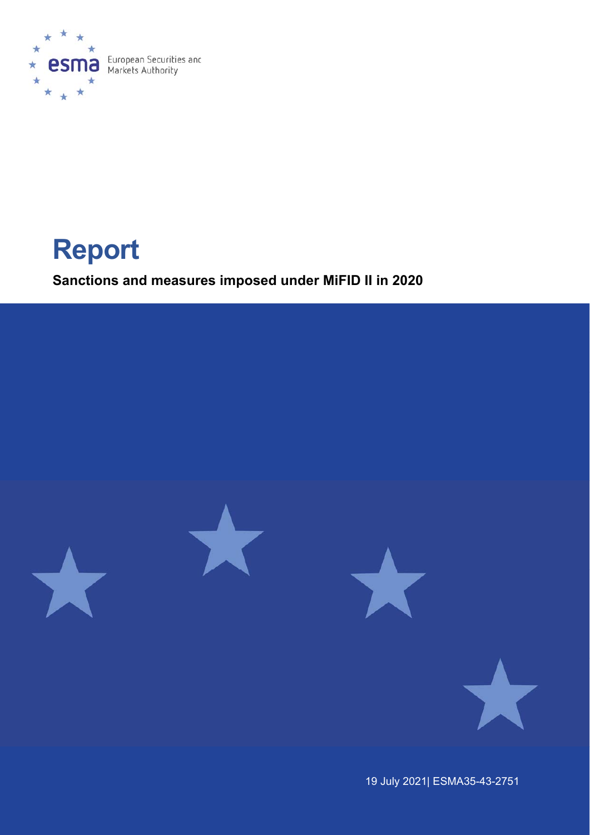

# **Report**

**Sanctions and measures imposed under MiFID II in 2020** 



19 July 2021| ESMA35-43-2751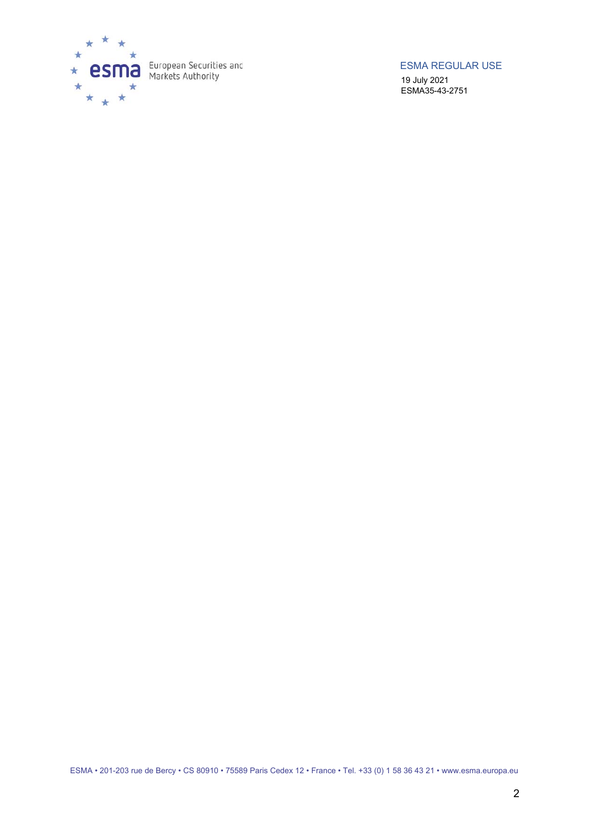

ESMA REGULAR USE

19 July 2021 ESMA35-43-2751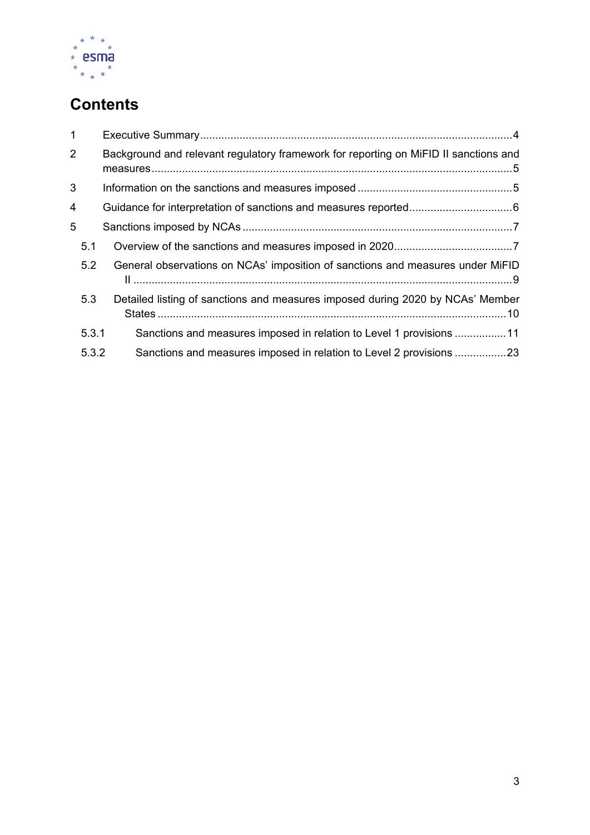

# **Contents**

| $\mathbf{1}$   |       |                                                                                      |
|----------------|-------|--------------------------------------------------------------------------------------|
| $\overline{2}$ |       | Background and relevant regulatory framework for reporting on MiFID II sanctions and |
| 3              |       |                                                                                      |
| 4              |       |                                                                                      |
| 5              |       |                                                                                      |
|                | 5.1   |                                                                                      |
|                | 5.2   | General observations on NCAs' imposition of sanctions and measures under MiFID       |
|                | 5.3   | Detailed listing of sanctions and measures imposed during 2020 by NCAs' Member       |
|                | 5.3.1 | Sanctions and measures imposed in relation to Level 1 provisions 11                  |
|                | 5.3.2 | Sanctions and measures imposed in relation to Level 2 provisions 23                  |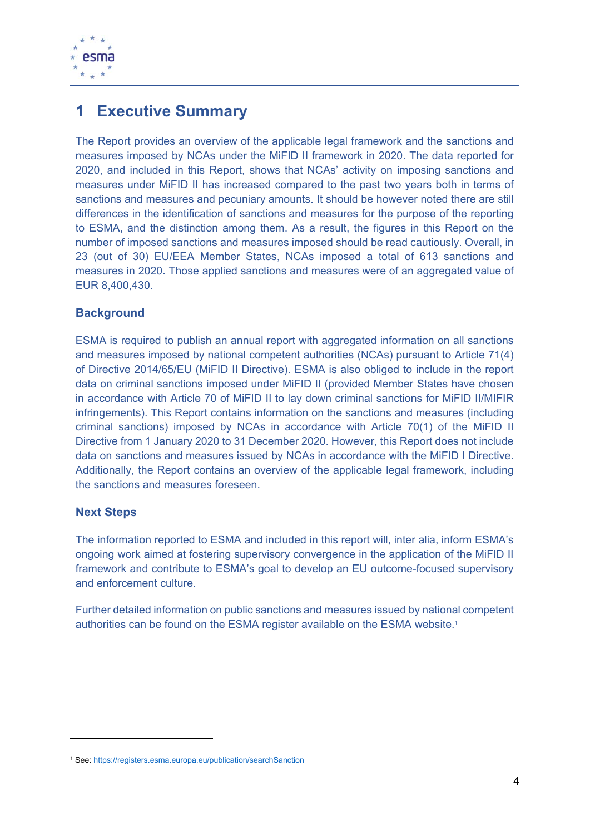

# **1 Executive Summary**

The Report provides an overview of the applicable legal framework and the sanctions and measures imposed by NCAs under the MiFID II framework in 2020. The data reported for 2020, and included in this Report, shows that NCAs' activity on imposing sanctions and measures under MiFID II has increased compared to the past two years both in terms of sanctions and measures and pecuniary amounts. It should be however noted there are still differences in the identification of sanctions and measures for the purpose of the reporting to ESMA, and the distinction among them. As a result, the figures in this Report on the number of imposed sanctions and measures imposed should be read cautiously. Overall, in 23 (out of 30) EU/EEA Member States, NCAs imposed a total of 613 sanctions and measures in 2020. Those applied sanctions and measures were of an aggregated value of EUR 8,400,430.

#### **Background**

ESMA is required to publish an annual report with aggregated information on all sanctions and measures imposed by national competent authorities (NCAs) pursuant to Article 71(4) of Directive 2014/65/EU (MiFID II Directive). ESMA is also obliged to include in the report data on criminal sanctions imposed under MiFID II (provided Member States have chosen in accordance with Article 70 of MiFID II to lay down criminal sanctions for MiFID II/MIFIR infringements). This Report contains information on the sanctions and measures (including criminal sanctions) imposed by NCAs in accordance with Article 70(1) of the MiFID II Directive from 1 January 2020 to 31 December 2020. However, this Report does not include data on sanctions and measures issued by NCAs in accordance with the MiFID I Directive. Additionally, the Report contains an overview of the applicable legal framework, including the sanctions and measures foreseen.

#### **Next Steps**

The information reported to ESMA and included in this report will, inter alia, inform ESMA's ongoing work aimed at fostering supervisory convergence in the application of the MiFID II framework and contribute to ESMA's goal to develop an EU outcome-focused supervisory and enforcement culture.

Further detailed information on public sanctions and measures issued by national competent authorities can be found on the ESMA register available on the ESMA website.1

<sup>&</sup>lt;sup>1</sup> See: https://registers.esma.europa.eu/publication/searchSanction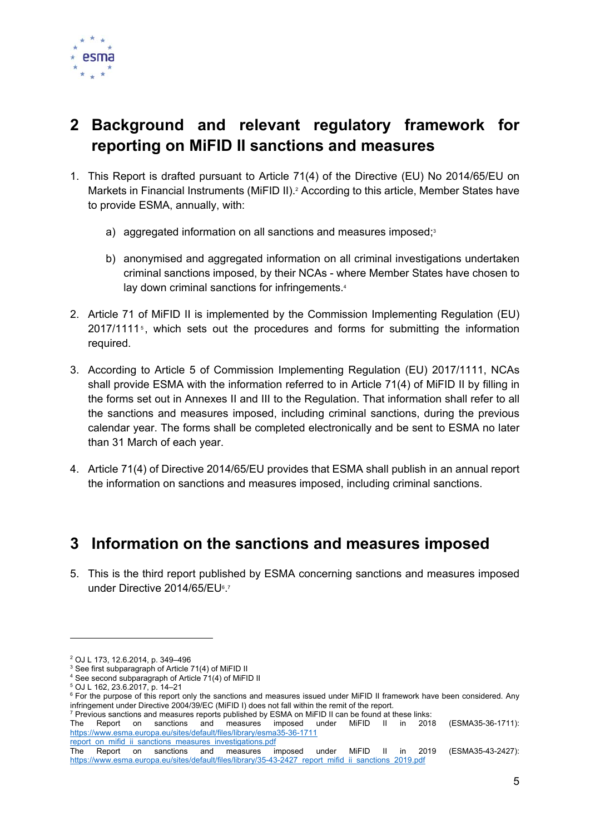

# **2 Background and relevant regulatory framework for reporting on MiFID II sanctions and measures**

- 1. This Report is drafted pursuant to Article 71(4) of the Directive (EU) No 2014/65/EU on Markets in Financial Instruments (MiFID II).<sup>2</sup> According to this article, Member States have to provide ESMA, annually, with:
	- a) aggregated information on all sanctions and measures imposed;<sup>3</sup>
	- b) anonymised and aggregated information on all criminal investigations undertaken criminal sanctions imposed, by their NCAs - where Member States have chosen to lay down criminal sanctions for infringements.<sup>4</sup>
- 2. Article 71 of MiFID II is implemented by the Commission Implementing Regulation (EU)  $2017/1111$ <sup>5</sup>, which sets out the procedures and forms for submitting the information required.
- 3. According to Article 5 of Commission Implementing Regulation (EU) 2017/1111, NCAs shall provide ESMA with the information referred to in Article 71(4) of MiFID II by filling in the forms set out in Annexes II and III to the Regulation. That information shall refer to all the sanctions and measures imposed, including criminal sanctions, during the previous calendar year. The forms shall be completed electronically and be sent to ESMA no later than 31 March of each year.
- 4. Article 71(4) of Directive 2014/65/EU provides that ESMA shall publish in an annual report the information on sanctions and measures imposed, including criminal sanctions.

# **3 Information on the sanctions and measures imposed**

5. This is the third report published by ESMA concerning sanctions and measures imposed under Directive 2014/65/EU6.7

<sup>2</sup> OJ L 173, 12.6.2014, p. 349–496

<sup>&</sup>lt;sup>3</sup> See first subparagraph of Article 71(4) of MiFID II<br><sup>4</sup> See second subparagraph of Article 71(4) of MiFII

See second subparagraph of Article 71(4) of MiFID II

<sup>5</sup> OJ L 162, 23.6.2017, p. 14–21

<sup>&</sup>lt;sup>6</sup> For the purpose of this report only the sanctions and measures issued under MiFID II framework have been considered. Any infringement under Directive 2004/39/EC (MiFID I) does not fall within the remit of the report. 7

 $7$  Previous sanctions and measures reports published by ESMA on MiFID II can be found at these links:

The Report on sanctions and measures imposed under MiFID II in 2018 (ESMA35-36-1711): https://www.esma.europa.eu/sites/default/files/library/esma35-36-1711 report\_on\_mifid\_ii\_sanctions\_measures\_investigations.pdf

The Report on sanctions and measures imposed under MiFID II in 2019 (ESMA35-43-2427): https://www.esma.europa.eu/sites/default/files/library/35-43-2427\_report\_mifid\_ii\_sanctions\_2019.pdf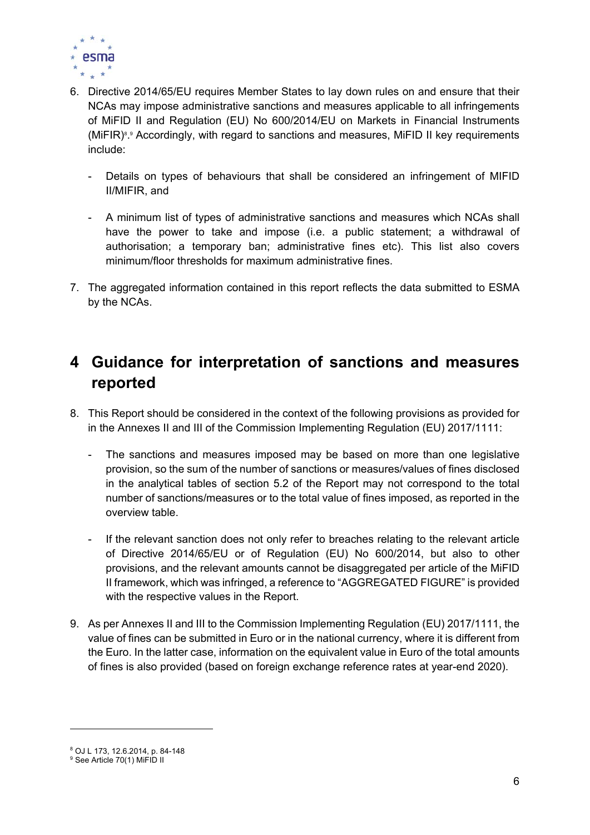

- 6. Directive 2014/65/EU requires Member States to lay down rules on and ensure that their NCAs may impose administrative sanctions and measures applicable to all infringements of MiFID II and Regulation (EU) No 600/2014/EU on Markets in Financial Instruments (MiFIR)8 .9 Accordingly, with regard to sanctions and measures, MiFID II key requirements include:
	- Details on types of behaviours that shall be considered an infringement of MIFID II/MIFIR, and
	- A minimum list of types of administrative sanctions and measures which NCAs shall have the power to take and impose (i.e. a public statement; a withdrawal of authorisation; a temporary ban; administrative fines etc). This list also covers minimum/floor thresholds for maximum administrative fines.
- 7. The aggregated information contained in this report reflects the data submitted to ESMA by the NCAs.

# **4 Guidance for interpretation of sanctions and measures reported**

- 8. This Report should be considered in the context of the following provisions as provided for in the Annexes II and III of the Commission Implementing Regulation (EU) 2017/1111:
	- The sanctions and measures imposed may be based on more than one legislative provision, so the sum of the number of sanctions or measures/values of fines disclosed in the analytical tables of section 5.2 of the Report may not correspond to the total number of sanctions/measures or to the total value of fines imposed, as reported in the overview table.
	- If the relevant sanction does not only refer to breaches relating to the relevant article of Directive 2014/65/EU or of Regulation (EU) No 600/2014, but also to other provisions, and the relevant amounts cannot be disaggregated per article of the MiFID II framework, which was infringed, a reference to "AGGREGATED FIGURE" is provided with the respective values in the Report.
- 9. As per Annexes II and III to the Commission Implementing Regulation (EU) 2017/1111, the value of fines can be submitted in Euro or in the national currency, where it is different from the Euro. In the latter case, information on the equivalent value in Euro of the total amounts of fines is also provided (based on foreign exchange reference rates at year-end 2020).

<sup>8</sup> OJ L 173, 12.6.2014, p. 84-148

<sup>&</sup>lt;sup>9</sup> See Article 70(1) MiFID II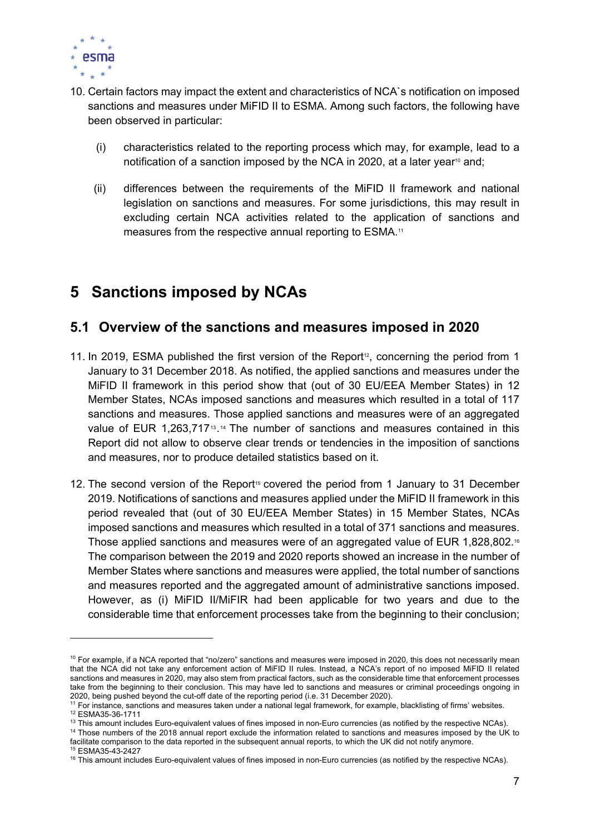

- 10. Certain factors may impact the extent and characteristics of NCA`s notification on imposed sanctions and measures under MiFID II to ESMA. Among such factors, the following have been observed in particular:
	- (i) characteristics related to the reporting process which may, for example, lead to a notification of a sanction imposed by the NCA in 2020, at a later year<sup>10</sup> and;
	- (ii) differences between the requirements of the MiFID II framework and national legislation on sanctions and measures. For some jurisdictions, this may result in excluding certain NCA activities related to the application of sanctions and measures from the respective annual reporting to ESMA.<sup>11</sup>

# **5 Sanctions imposed by NCAs**

## **5.1 Overview of the sanctions and measures imposed in 2020**

- 11. In 2019, ESMA published the first version of the Report<sup>12</sup>, concerning the period from 1 January to 31 December 2018. As notified, the applied sanctions and measures under the MiFID II framework in this period show that (out of 30 EU/EEA Member States) in 12 Member States, NCAs imposed sanctions and measures which resulted in a total of 117 sanctions and measures. Those applied sanctions and measures were of an aggregated value of EUR 1,263,717<sup>13</sup>.<sup>14</sup> The number of sanctions and measures contained in this Report did not allow to observe clear trends or tendencies in the imposition of sanctions and measures, nor to produce detailed statistics based on it.
- 12. The second version of the Report<sup>15</sup> covered the period from 1 January to 31 December 2019. Notifications of sanctions and measures applied under the MiFID II framework in this period revealed that (out of 30 EU/EEA Member States) in 15 Member States, NCAs imposed sanctions and measures which resulted in a total of 371 sanctions and measures. Those applied sanctions and measures were of an aggregated value of EUR 1,828,802.16 The comparison between the 2019 and 2020 reports showed an increase in the number of Member States where sanctions and measures were applied, the total number of sanctions and measures reported and the aggregated amount of administrative sanctions imposed. However, as (i) MiFID II/MiFIR had been applicable for two years and due to the considerable time that enforcement processes take from the beginning to their conclusion;

 $10$  For example, if a NCA reported that "no/zero" sanctions and measures were imposed in 2020, this does not necessarily mean that the NCA did not take any enforcement action of MiFID II rules. Instead, a NCA's report of no imposed MiFID II related sanctions and measures in 2020, may also stem from practical factors, such as the considerable time that enforcement processes take from the beginning to their conclusion. This may have led to sanctions and measures or criminal proceedings ongoing in

<sup>2020,</sup> being pushed beyond the cut-off date of the reporting period (i.e. 31 December 2020).<br><sup>11</sup> For instance, sanctions and measures taken under a national legal framework, for example, blacklisting of firms' websites.<br><sup>1</sup>

<sup>&</sup>lt;sup>14</sup> Those numbers of the 2018 annual report exclude the information related to sanctions and measures imposed by the UK to facilitate comparison to the data reported in the subsequent annual reports, to which the UK did not notify anymore.<br><sup>15</sup> ESMA35-43-2427

<sup>&</sup>lt;sup>16</sup> This amount includes Euro-equivalent values of fines imposed in non-Euro currencies (as notified by the respective NCAs).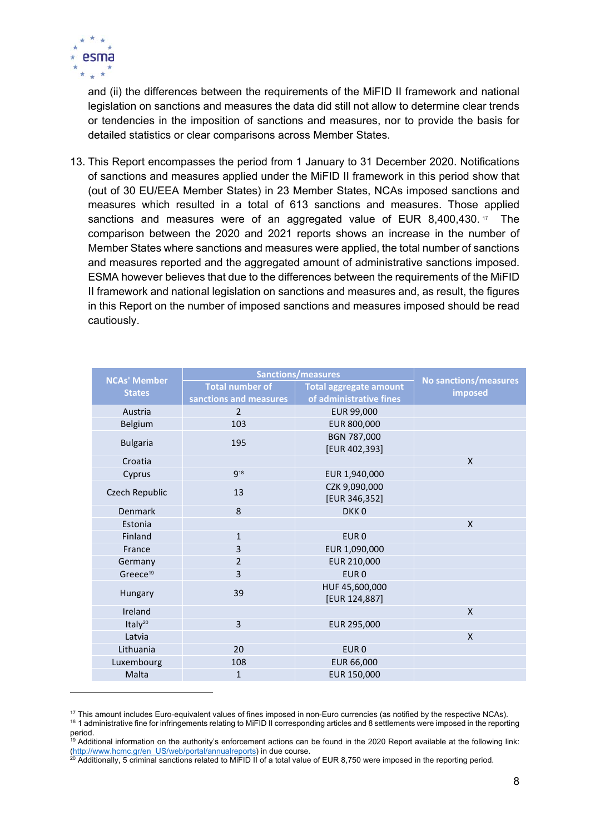

and (ii) the differences between the requirements of the MiFID II framework and national legislation on sanctions and measures the data did still not allow to determine clear trends or tendencies in the imposition of sanctions and measures, nor to provide the basis for detailed statistics or clear comparisons across Member States.

13. This Report encompasses the period from 1 January to 31 December 2020. Notifications of sanctions and measures applied under the MiFID II framework in this period show that (out of 30 EU/EEA Member States) in 23 Member States, NCAs imposed sanctions and measures which resulted in a total of 613 sanctions and measures. Those applied sanctions and measures were of an aggregated value of EUR  $8,400,430.$ <sup>17</sup> The comparison between the 2020 and 2021 reports shows an increase in the number of Member States where sanctions and measures were applied, the total number of sanctions and measures reported and the aggregated amount of administrative sanctions imposed. ESMA however believes that due to the differences between the requirements of the MiFID II framework and national legislation on sanctions and measures and, as result, the figures in this Report on the number of imposed sanctions and measures imposed should be read cautiously.

| <b>NCAs' Member</b>  |                        | <b>Sanctions/measures</b>       | No sanctions/measures |
|----------------------|------------------------|---------------------------------|-----------------------|
| <b>States</b>        | <b>Total number of</b> | <b>Total aggregate amount</b>   | imposed               |
|                      | sanctions and measures | of administrative fines         |                       |
| Austria              | $\overline{2}$         | EUR 99,000                      |                       |
| Belgium              | 103                    | EUR 800,000                     |                       |
| <b>Bulgaria</b>      | 195                    | BGN 787,000<br>[EUR 402,393]    |                       |
| Croatia              |                        |                                 | $\mathsf{x}$          |
| Cyprus               | <b>918</b>             | EUR 1,940,000                   |                       |
| Czech Republic       | 13                     | CZK 9,090,000<br>[EUR 346,352]  |                       |
| Denmark              | 8                      | DKK <sub>0</sub>                |                       |
| Estonia              |                        |                                 | $\mathsf{x}$          |
| Finland              | $\mathbf{1}$           | EUR <sub>0</sub>                |                       |
| France               | 3                      | EUR 1,090,000                   |                       |
| Germany              | $\overline{2}$         | EUR 210,000                     |                       |
| Greece <sup>19</sup> | 3                      | EUR <sub>0</sub>                |                       |
| Hungary              | 39                     | HUF 45,600,000<br>[EUR 124,887] |                       |
| Ireland              |                        |                                 | X                     |
| Italy <sup>20</sup>  | 3                      | EUR 295,000                     |                       |
| Latvia               |                        |                                 | X                     |
| Lithuania            | 20                     | EUR <sub>0</sub>                |                       |
| Luxembourg           | 108                    | EUR 66,000                      |                       |
| Malta                | $\mathbf{1}$           | EUR 150,000                     |                       |

<sup>&</sup>lt;sup>17</sup> This amount includes Euro-equivalent values of fines imposed in non-Euro currencies (as notified by the respective NCAs).<br><sup>18</sup> 1 administrative fine for infringements relating to MiFID II corresponding articles and 8 period.

<sup>&</sup>lt;sup>19</sup> Additional information on the authority's enforcement actions can be found in the 2020 Report available at the following link: (http://www.hcmc.gr/en\_US/web/portal/annualreports) in due course.<br><sup>20</sup> Additionally, 5 criminal sanctions related to MiFID II of a total value of EUR 8,750 were imposed in the reporting period.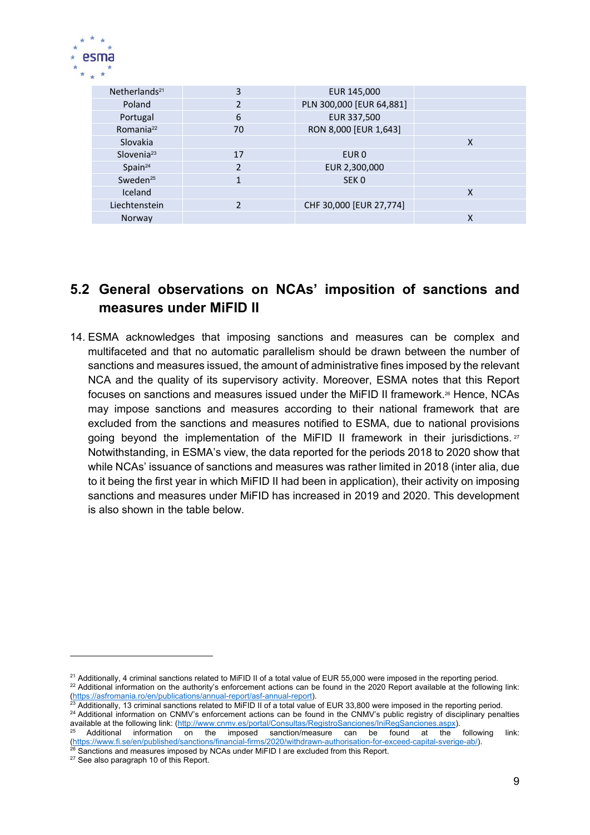

| Netherlands <sup>21</sup> | 3              | EUR 145,000              |   |
|---------------------------|----------------|--------------------------|---|
| Poland                    | 2              | PLN 300,000 [EUR 64,881] |   |
| Portugal                  | 6              | EUR 337,500              |   |
| Romania <sup>22</sup>     | 70             | RON 8,000 [EUR 1,643]    |   |
| Slovakia                  |                |                          | X |
| Slovenia $23$             | 17             | EUR <sub>0</sub>         |   |
| Spin <sup>24</sup>        | $\mathfrak{p}$ | EUR 2,300,000            |   |
| Sweden <sup>25</sup>      |                | SEK <sub>0</sub>         |   |
| Iceland                   |                |                          | X |
| Liechtenstein             |                | CHF 30,000 [EUR 27,774]  |   |
| Norway                    |                |                          | x |

## **5.2 General observations on NCAs' imposition of sanctions and measures under MiFID II**

14. ESMA acknowledges that imposing sanctions and measures can be complex and multifaceted and that no automatic parallelism should be drawn between the number of sanctions and measures issued, the amount of administrative fines imposed by the relevant NCA and the quality of its supervisory activity. Moreover, ESMA notes that this Report focuses on sanctions and measures issued under the MiFID II framework.<sup>26</sup> Hence, NCAs may impose sanctions and measures according to their national framework that are excluded from the sanctions and measures notified to ESMA, due to national provisions going beyond the implementation of the MiFID II framework in their jurisdictions.  $27$ Notwithstanding, in ESMA's view, the data reported for the periods 2018 to 2020 show that while NCAs' issuance of sanctions and measures was rather limited in 2018 (inter alia, due to it being the first year in which MiFID II had been in application), their activity on imposing sanctions and measures under MiFID has increased in 2019 and 2020. This development is also shown in the table below.

 $^{21}$  Additionally, 4 criminal sanctions related to MiFID II of a total value of EUR 55,000 were imposed in the reporting period.<br> $^{22}$  Additional information on the authority's enforcement actions can be found in the 2

<sup>(</sup>https://asfromania.ro/en/publications/annual-report/asf-annual-report).<br><sup>23</sup> Additionally, 13 criminal sanctions related to MiFID II of a total value of EUR 33,800 were imposed in the reporting period.<br><sup>24</sup> Additional inf

Additional information on the imposed sanction/measure can be found at the following link: (https://www.fi.se/en/published/sanctions/financial-firms/2020/withdrawn-authorisation-for-exceed-capital-sverige-ab/).<br><sup>26</sup> Sanctions and measures imposed by NCAs under MiFID I are excluded from this Report.<br><sup>27</sup> See also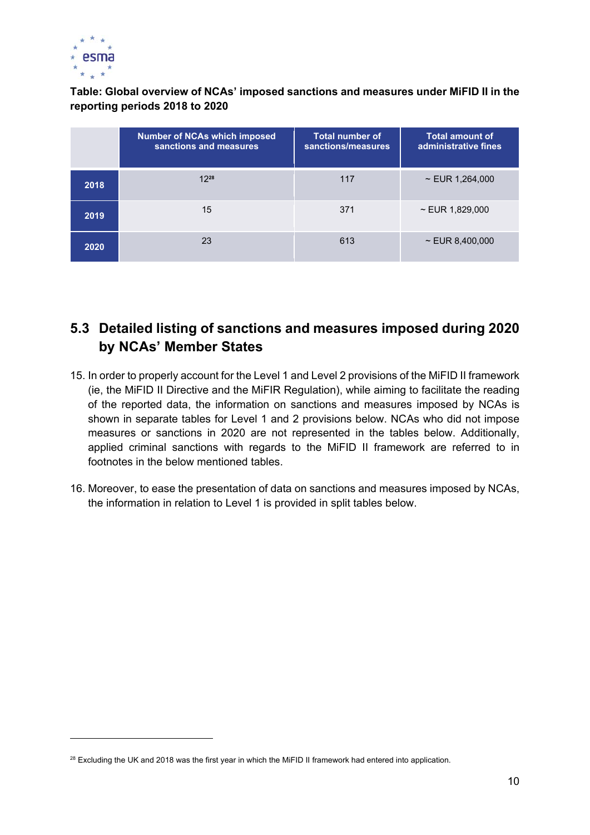

#### **Table: Global overview of NCAs' imposed sanctions and measures under MiFID II in the reporting periods 2018 to 2020**

|      | <b>Number of NCAs which imposed</b><br>sanctions and measures | <b>Total number of</b><br>sanctions/measures | <b>Total amount of</b><br>administrative fines |
|------|---------------------------------------------------------------|----------------------------------------------|------------------------------------------------|
| 2018 | $12^{28}$                                                     | 117                                          | $\sim$ EUR 1,264,000                           |
| 2019 | 15                                                            | 371                                          | $\sim$ EUR 1,829,000                           |
| 2020 | 23                                                            | 613                                          | $\sim$ EUR 8,400,000                           |

## **5.3 Detailed listing of sanctions and measures imposed during 2020 by NCAs' Member States**

- 15. In order to properly account for the Level 1 and Level 2 provisions of the MiFID II framework (ie, the MiFID II Directive and the MiFIR Regulation), while aiming to facilitate the reading of the reported data, the information on sanctions and measures imposed by NCAs is shown in separate tables for Level 1 and 2 provisions below. NCAs who did not impose measures or sanctions in 2020 are not represented in the tables below. Additionally, applied criminal sanctions with regards to the MiFID II framework are referred to in footnotes in the below mentioned tables.
- 16. Moreover, to ease the presentation of data on sanctions and measures imposed by NCAs, the information in relation to Level 1 is provided in split tables below.

<sup>&</sup>lt;sup>28</sup> Excluding the UK and 2018 was the first year in which the MiFID II framework had entered into application.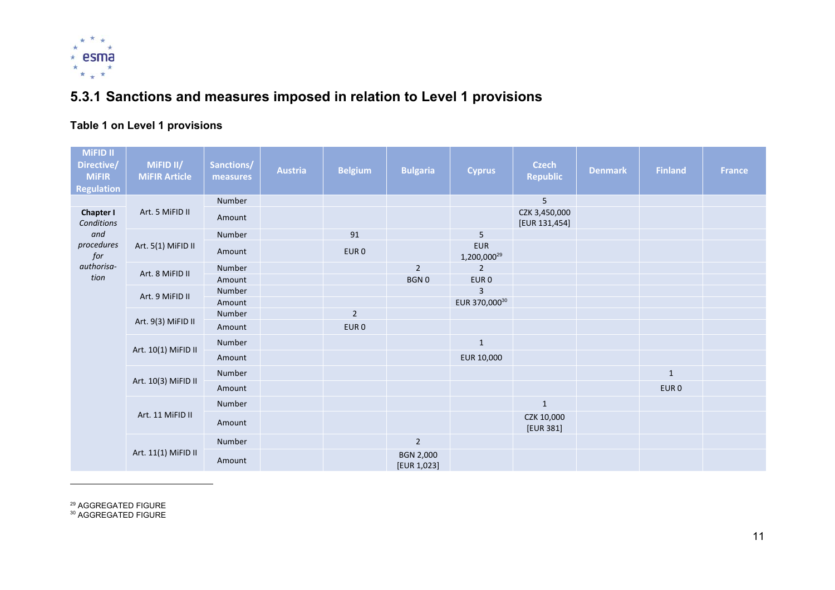

# **5.3.1 Sanctions and measures imposed in relation to Level 1 provisions**

## **Table 1 on Level 1 provisions**

| MiFID II<br>Directive/<br><b>MiFIR</b><br><b>Regulation</b> | MIFID II/<br><b>MiFIR Article</b> | Sanctions/<br>measures | <b>Austria</b> | <b>Belgium</b>   | <b>Bulgaria</b>                 | <b>Cyprus</b>                         | <b>Czech</b><br><b>Republic</b> | <b>Denmark</b> | <b>Finland</b>   | <b>France</b> |
|-------------------------------------------------------------|-----------------------------------|------------------------|----------------|------------------|---------------------------------|---------------------------------------|---------------------------------|----------------|------------------|---------------|
|                                                             |                                   | Number                 |                |                  |                                 |                                       | 5                               |                |                  |               |
| <b>Chapter I</b><br>Conditions                              | Art. 5 MiFID II                   | Amount                 |                |                  |                                 |                                       | CZK 3,450,000<br>[EUR 131,454]  |                |                  |               |
| and                                                         |                                   | Number                 |                | 91               |                                 | 5                                     |                                 |                |                  |               |
| procedures<br>$\it for$                                     | Art. 5(1) MiFID II                | Amount                 |                | EUR <sub>0</sub> |                                 | <b>EUR</b><br>1,200,000 <sup>29</sup> |                                 |                |                  |               |
| authorisa-                                                  | Art. 8 MiFID II                   | Number                 |                |                  | $\overline{2}$                  | $\overline{2}$                        |                                 |                |                  |               |
| tion                                                        |                                   | Amount                 |                |                  | <b>BGN0</b>                     | EUR <sub>0</sub>                      |                                 |                |                  |               |
|                                                             | Art. 9 MiFID II                   | Number                 |                |                  |                                 | 3                                     |                                 |                |                  |               |
|                                                             |                                   | Amount                 |                |                  |                                 | EUR 370,00030                         |                                 |                |                  |               |
|                                                             | Art. 9(3) MiFID II                | Number                 |                | $\overline{2}$   |                                 |                                       |                                 |                |                  |               |
|                                                             |                                   | Amount                 |                | EUR <sub>0</sub> |                                 |                                       |                                 |                |                  |               |
|                                                             | Art. 10(1) MiFID II               | Number                 |                |                  |                                 | $\mathbf{1}$                          |                                 |                |                  |               |
|                                                             |                                   | Amount                 |                |                  |                                 | EUR 10,000                            |                                 |                |                  |               |
|                                                             |                                   | Number                 |                |                  |                                 |                                       |                                 |                | $\mathbf{1}$     |               |
|                                                             | Art. 10(3) MiFID II               | Amount                 |                |                  |                                 |                                       |                                 |                | EUR <sub>0</sub> |               |
|                                                             |                                   | Number                 |                |                  |                                 |                                       | $\mathbf{1}$                    |                |                  |               |
|                                                             | Art. 11 MiFID II                  | Amount                 |                |                  |                                 |                                       | CZK 10,000<br>[EUR 381]         |                |                  |               |
|                                                             |                                   | Number                 |                |                  | $\overline{2}$                  |                                       |                                 |                |                  |               |
|                                                             | Art. 11(1) MiFID II               | Amount                 |                |                  | <b>BGN 2,000</b><br>[EUR 1,023] |                                       |                                 |                |                  |               |

<sup>29</sup> AGGREGATED FIGURE<br><sup>30</sup> AGGREGATED FIGURE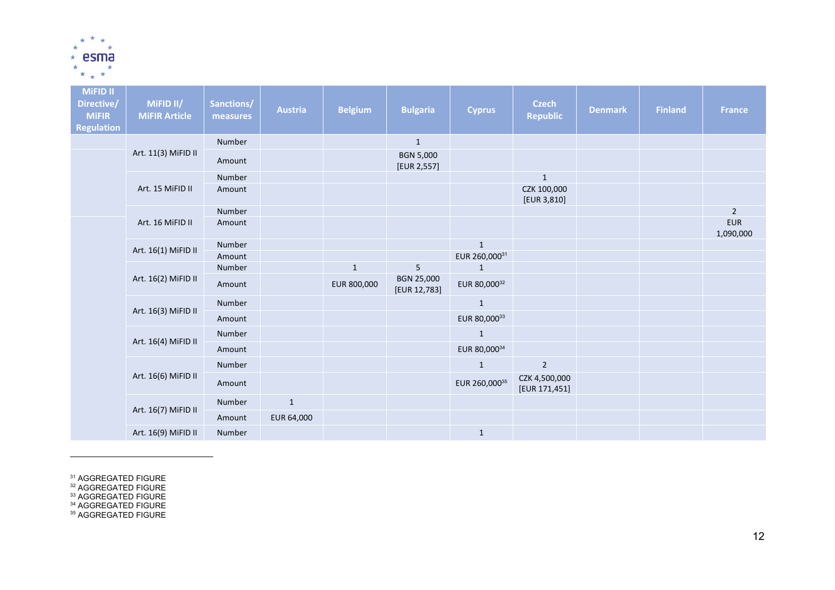

| <b>MiFID II</b><br>Directive/<br><b>MiFIR</b><br><b>Regulation</b> | MiFID II/<br><b>MiFIR Article</b> | Sanctions/<br>measures | <b>Austria</b> | <b>Belgium</b> | <b>Bulgaria</b>                 | <b>Cyprus</b> | <b>Czech</b><br><b>Republic</b> | <b>Denmark</b> | <b>Finland</b> | <b>France</b>           |
|--------------------------------------------------------------------|-----------------------------------|------------------------|----------------|----------------|---------------------------------|---------------|---------------------------------|----------------|----------------|-------------------------|
|                                                                    |                                   | Number                 |                |                | $\mathbf 1$                     |               |                                 |                |                |                         |
|                                                                    | Art. 11(3) MiFID II               | Amount                 |                |                | <b>BGN 5,000</b><br>[EUR 2,557] |               |                                 |                |                |                         |
|                                                                    |                                   | Number                 |                |                |                                 |               | $\mathbf{1}$                    |                |                |                         |
|                                                                    | Art. 15 MiFID II                  | Amount                 |                |                |                                 |               | CZK 100,000<br>[EUR 3,810]      |                |                |                         |
|                                                                    |                                   | Number                 |                |                |                                 |               |                                 |                |                | $\overline{2}$          |
|                                                                    | Art. 16 MiFID II                  | Amount                 |                |                |                                 |               |                                 |                |                | <b>EUR</b><br>1,090,000 |
|                                                                    | Art. 16(1) MiFID II               | Number                 |                |                |                                 | $\mathbf{1}$  |                                 |                |                |                         |
|                                                                    |                                   | Amount                 |                |                |                                 | EUR 260,00031 |                                 |                |                |                         |
|                                                                    |                                   | Number                 |                | $\mathbf{1}$   | 5                               | $\mathbf{1}$  |                                 |                |                |                         |
|                                                                    | Art. 16(2) MiFID II               | Amount                 |                | EUR 800,000    | BGN 25,000<br>[EUR 12,783]      | EUR 80,00032  |                                 |                |                |                         |
|                                                                    |                                   | Number                 |                |                |                                 | $\mathbf 1$   |                                 |                |                |                         |
|                                                                    | Art. 16(3) MiFID II               | Amount                 |                |                |                                 | EUR 80,00033  |                                 |                |                |                         |
|                                                                    |                                   | Number                 |                |                |                                 | $\mathbf{1}$  |                                 |                |                |                         |
|                                                                    | Art. 16(4) MiFID II               | Amount                 |                |                |                                 | EUR 80,00034  |                                 |                |                |                         |
|                                                                    |                                   | Number                 |                |                |                                 | $\mathbf{1}$  | $\overline{2}$                  |                |                |                         |
|                                                                    | Art. 16(6) MiFID II               | Amount                 |                |                |                                 | EUR 260,00035 | CZK 4,500,000<br>[EUR 171,451]  |                |                |                         |
|                                                                    |                                   | Number                 | $\mathbf{1}$   |                |                                 |               |                                 |                |                |                         |
|                                                                    | Art. 16(7) MiFID II               | Amount                 | EUR 64,000     |                |                                 |               |                                 |                |                |                         |
|                                                                    | Art. 16(9) MiFID II               | Number                 |                |                |                                 | $\mathbf{1}$  |                                 |                |                |                         |

<sup>31</sup> AGGREGATED FIGURE<br><sup>32</sup> AGGREGATED FIGURE<br><sup>33</sup> AGGREGATED FIGURE<br><sup>34</sup> AGGREGATED FIGURE<br><sup>35</sup> AGGREGATED FIGURE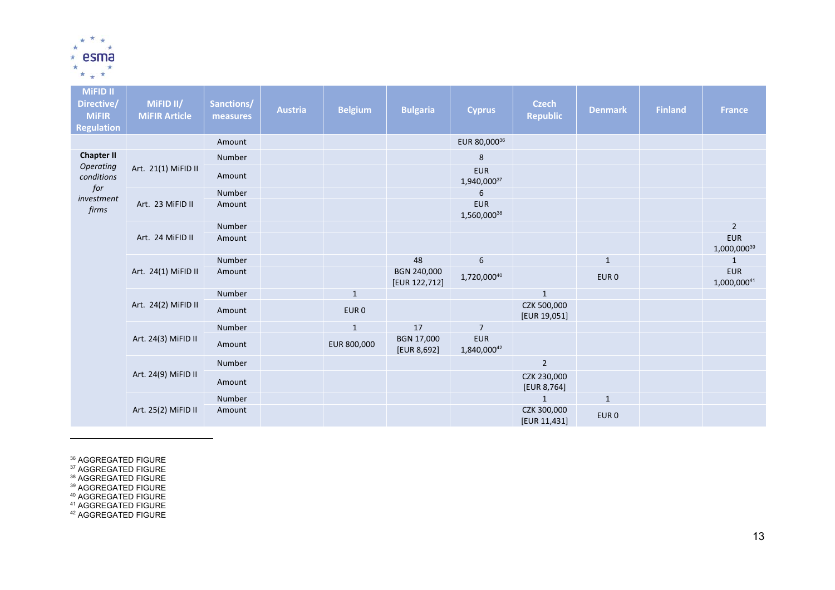

| <b>MiFID II</b><br>Directive/<br><b>MiFIR</b><br><b>Regulation</b> | MiFID II/<br><b>MiFIR Article</b> | Sanctions/<br>measures | <b>Austria</b> | <b>Belgium</b>   | <b>Bulgaria</b>              | <b>Cyprus</b>             | <b>Czech</b><br><b>Republic</b> | <b>Denmark</b>   | <b>Finland</b> | <b>France</b>             |
|--------------------------------------------------------------------|-----------------------------------|------------------------|----------------|------------------|------------------------------|---------------------------|---------------------------------|------------------|----------------|---------------------------|
|                                                                    |                                   | Amount                 |                |                  |                              | EUR 80,00036              |                                 |                  |                |                           |
| <b>Chapter II</b>                                                  |                                   | Number                 |                |                  |                              | 8                         |                                 |                  |                |                           |
| Operating<br>conditions                                            | Art. 21(1) MiFID II               | Amount                 |                |                  |                              | <b>EUR</b><br>1,940,00037 |                                 |                  |                |                           |
| for<br>investment                                                  |                                   | Number                 |                |                  |                              | 6                         |                                 |                  |                |                           |
| firms                                                              | Art. 23 MiFID II                  | Amount                 |                |                  |                              | <b>EUR</b><br>1,560,00038 |                                 |                  |                |                           |
|                                                                    |                                   | Number                 |                |                  |                              |                           |                                 |                  |                | $\overline{2}$            |
|                                                                    | Art. 24 MiFID II                  | Amount                 |                |                  |                              |                           |                                 |                  |                | <b>EUR</b><br>1,000,00039 |
|                                                                    |                                   | Number                 |                |                  | 48                           | 6                         |                                 | $\mathbf{1}$     |                | $\mathbf{1}$              |
|                                                                    | Art. 24(1) MiFID II               | Amount                 |                |                  | BGN 240,000<br>[EUR 122,712] | 1,720,00040               |                                 | EUR <sub>0</sub> |                | <b>EUR</b><br>1,000,00041 |
|                                                                    |                                   | Number                 |                | $\mathbf{1}$     |                              |                           | $\mathbf{1}$                    |                  |                |                           |
|                                                                    | Art. 24(2) MiFID II               | Amount                 |                | EUR <sub>0</sub> |                              |                           | CZK 500,000<br>[EUR 19,051]     |                  |                |                           |
|                                                                    |                                   | Number                 |                | $\mathbf{1}$     | 17                           | $\overline{7}$            |                                 |                  |                |                           |
|                                                                    | Art. 24(3) MiFID II               | Amount                 |                | EUR 800,000      | BGN 17,000<br>[EUR 8,692]    | <b>EUR</b><br>1,840,00042 |                                 |                  |                |                           |
|                                                                    |                                   | Number                 |                |                  |                              |                           | $2^{\circ}$                     |                  |                |                           |
|                                                                    | Art. 24(9) MiFID II               | Amount                 |                |                  |                              |                           | CZK 230,000<br>[EUR 8,764]      |                  |                |                           |
|                                                                    |                                   | Number                 |                |                  |                              |                           | $\mathbf{1}$                    | $\mathbf{1}$     |                |                           |
|                                                                    | Art. 25(2) MiFID II               | Amount                 |                |                  |                              |                           | CZK 300,000<br>[EUR 11,431]     | EUR <sub>0</sub> |                |                           |

<sup>36</sup> AGGREGATED FIGURE<br><sup>37</sup> AGGREGATED FIGURE<br><sup>38</sup> AGGREGATED FIGURE<br><sup>40</sup> AGGREGATED FIGURE<br><sup>41</sup> AGGREGATED FIGURE<br><sup>41</sup> AGGREGATED FIGURE<br><sup>42</sup> AGGREGATED FIGURE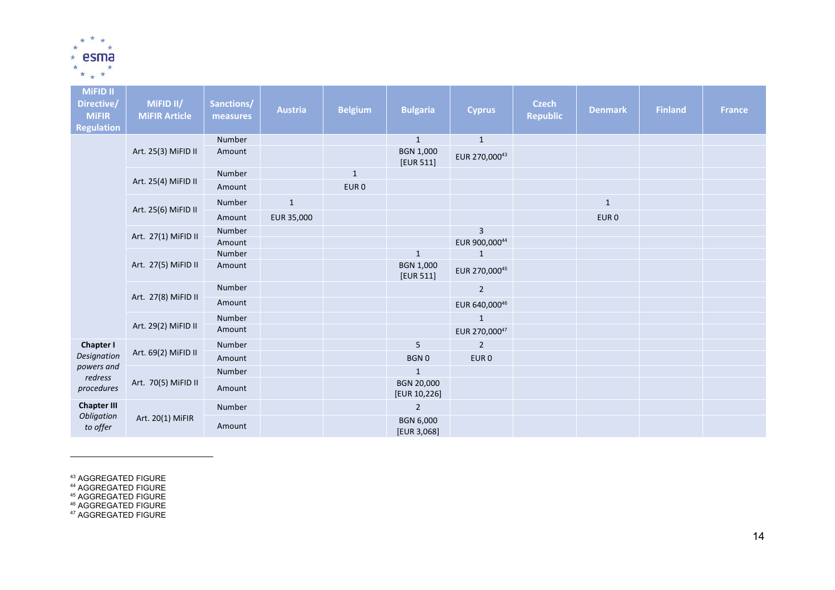

| <b>MiFID II</b><br>Directive/<br><b>MiFIR</b><br><b>Regulation</b> | MiFID II/<br><b>MiFIR Article</b> | Sanctions/<br>measures | <b>Austria</b> | <b>Belgium</b>   | <b>Bulgaria</b>                 | <b>Cyprus</b>    | <b>Czech</b><br><b>Republic</b> | <b>Denmark</b>   | <b>Finland</b> | <b>France</b> |
|--------------------------------------------------------------------|-----------------------------------|------------------------|----------------|------------------|---------------------------------|------------------|---------------------------------|------------------|----------------|---------------|
|                                                                    |                                   | Number                 |                |                  | $\mathbf{1}$                    | $\mathbf{1}$     |                                 |                  |                |               |
|                                                                    | Art. 25(3) MiFID II               | Amount                 |                |                  | <b>BGN 1,000</b><br>[EUR 511]   | EUR 270,00043    |                                 |                  |                |               |
|                                                                    |                                   | Number                 |                | $\mathbf{1}$     |                                 |                  |                                 |                  |                |               |
|                                                                    | Art. 25(4) MiFID II               | Amount                 |                | EUR <sub>0</sub> |                                 |                  |                                 |                  |                |               |
|                                                                    | Art. 25(6) MiFID II               | Number                 | $\mathbf{1}$   |                  |                                 |                  |                                 | $\mathbf{1}$     |                |               |
|                                                                    |                                   | Amount                 | EUR 35,000     |                  |                                 |                  |                                 | EUR <sub>0</sub> |                |               |
|                                                                    | Art. 27(1) MiFID II               | Number                 |                |                  |                                 | $\mathbf{3}$     |                                 |                  |                |               |
|                                                                    |                                   | Amount                 |                |                  |                                 | EUR 900,00044    |                                 |                  |                |               |
|                                                                    |                                   | Number                 |                |                  | $1\,$                           | $\mathbf{1}$     |                                 |                  |                |               |
|                                                                    | Art. 27(5) MiFID II               | Amount                 |                |                  | <b>BGN 1,000</b><br>[EUR 511]   | EUR 270,00045    |                                 |                  |                |               |
|                                                                    |                                   | Number                 |                |                  |                                 | $\overline{2}$   |                                 |                  |                |               |
|                                                                    | Art. 27(8) MiFID II               | Amount                 |                |                  |                                 | EUR 640,00046    |                                 |                  |                |               |
|                                                                    |                                   | Number                 |                |                  |                                 | $\mathbf{1}$     |                                 |                  |                |               |
|                                                                    | Art. 29(2) MiFID II               | Amount                 |                |                  |                                 | EUR 270,00047    |                                 |                  |                |               |
| <b>Chapter I</b>                                                   |                                   | Number                 |                |                  | 5                               | $\overline{2}$   |                                 |                  |                |               |
| Designation                                                        | Art. 69(2) MiFID II               | Amount                 |                |                  | <b>BGN0</b>                     | EUR <sub>0</sub> |                                 |                  |                |               |
| powers and                                                         |                                   | Number                 |                |                  | $\mathbf{1}$                    |                  |                                 |                  |                |               |
| redress<br>procedures                                              | Art. 70(5) MiFID II               | Amount                 |                |                  | BGN 20,000<br>[EUR 10,226]      |                  |                                 |                  |                |               |
| <b>Chapter III</b>                                                 |                                   | Number                 |                |                  | $\overline{2}$                  |                  |                                 |                  |                |               |
| Obligation<br>to offer                                             | Art. 20(1) MiFIR                  | Amount                 |                |                  | <b>BGN 6,000</b><br>[EUR 3,068] |                  |                                 |                  |                |               |

<sup>43</sup> AGGREGATED FIGURE<br><sup>44</sup> AGGREGATED FIGURE<br><sup>45</sup> AGGREGATED FIGURE<br><sup>46</sup> AGGREGATED FIGURE<br><sup>47</sup> AGGREGATED FIGURE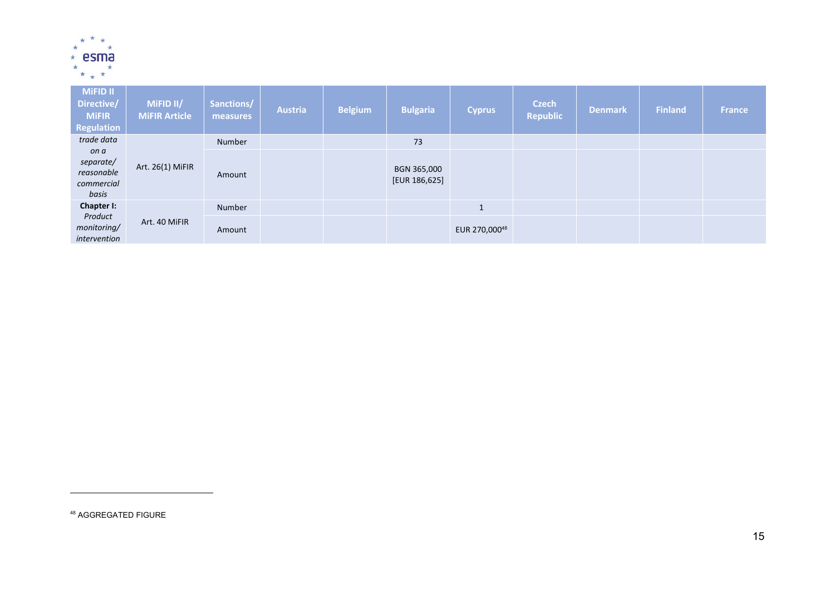

| <b>MiFID II</b><br>Directive/<br><b>MIFIR</b><br>Regulation | MiFID II/<br><b>MiFIR Article</b> | Sanctions/<br>measures | <b>Austria</b> | <b>Belgium</b> | <b>Bulgaria</b>              | <b>Cyprus</b> | <b>Czech</b><br><b>Republic</b> | <b>Denmark</b> | <b>Finland</b> | <b>France</b> |
|-------------------------------------------------------------|-----------------------------------|------------------------|----------------|----------------|------------------------------|---------------|---------------------------------|----------------|----------------|---------------|
| trade data                                                  |                                   | Number                 |                |                | 73                           |               |                                 |                |                |               |
| on a<br>separate/<br>reasonable<br>commercial<br>basis      | Art. 26(1) MiFIR                  | Amount                 |                |                | BGN 365,000<br>[EUR 186,625] |               |                                 |                |                |               |
| Chapter I:                                                  |                                   | Number                 |                |                |                              | $\mathbf{1}$  |                                 |                |                |               |
| Product<br>monitoring/<br>intervention                      | Art. 40 MiFIR                     | Amount                 |                |                |                              | EUR 270,00048 |                                 |                |                |               |

<sup>48</sup> AGGREGATED FIGURE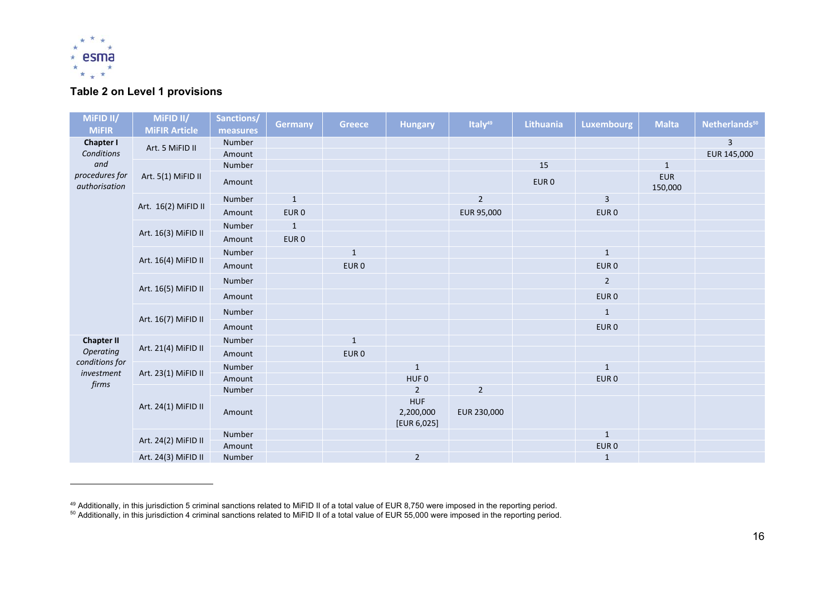

## **Table 2 on Level 1 provisions**

| MiFID II/                       | MiFID II/            | Sanctions/ | <b>Germany</b>   | Greece           | <b>Hungary</b>                         | Italy <sup>49</sup> | <b>Lithuania</b> | <b>Luxembourg</b> | <b>Malta</b>          | Netherlands <sup>50</sup> |
|---------------------------------|----------------------|------------|------------------|------------------|----------------------------------------|---------------------|------------------|-------------------|-----------------------|---------------------------|
| <b>MiFIR</b>                    | <b>MiFIR Article</b> | measures   |                  |                  |                                        |                     |                  |                   |                       |                           |
| <b>Chapter I</b>                | Art. 5 MiFID II      | Number     |                  |                  |                                        |                     |                  |                   |                       | 3                         |
| Conditions                      |                      | Amount     |                  |                  |                                        |                     |                  |                   |                       | EUR 145,000               |
| and                             |                      | Number     |                  |                  |                                        |                     | 15               |                   | $\mathbf{1}$          |                           |
| procedures for<br>authorisation | Art. 5(1) MiFID II   | Amount     |                  |                  |                                        |                     | EUR <sub>0</sub> |                   | <b>EUR</b><br>150,000 |                           |
|                                 | Art. 16(2) MiFID II  | Number     | $\mathbf{1}$     |                  |                                        | $\overline{2}$      |                  | 3                 |                       |                           |
|                                 |                      | Amount     | EUR <sub>0</sub> |                  |                                        | EUR 95,000          |                  | EUR <sub>0</sub>  |                       |                           |
|                                 | Art. 16(3) MiFID II  | Number     | $\mathbf{1}$     |                  |                                        |                     |                  |                   |                       |                           |
|                                 |                      | Amount     | EUR <sub>0</sub> |                  |                                        |                     |                  |                   |                       |                           |
|                                 |                      | Number     |                  | $\mathbf{1}$     |                                        |                     |                  | $\mathbf{1}$      |                       |                           |
|                                 | Art. 16(4) MiFID II  | Amount     |                  | EUR <sub>0</sub> |                                        |                     |                  | EUR <sub>0</sub>  |                       |                           |
|                                 | Art. 16(5) MiFID II  | Number     |                  |                  |                                        |                     |                  | $\overline{2}$    |                       |                           |
|                                 |                      | Amount     |                  |                  |                                        |                     |                  | EUR <sub>0</sub>  |                       |                           |
|                                 | Art. 16(7) MiFID II  | Number     |                  |                  |                                        |                     |                  | $\mathbf{1}$      |                       |                           |
|                                 |                      | Amount     |                  |                  |                                        |                     |                  | EUR <sub>0</sub>  |                       |                           |
| <b>Chapter II</b>               |                      | Number     |                  | $\mathbf{1}$     |                                        |                     |                  |                   |                       |                           |
| Operating                       | Art. 21(4) MiFID II  | Amount     |                  | EUR <sub>0</sub> |                                        |                     |                  |                   |                       |                           |
| conditions for<br>investment    | Art. 23(1) MiFID II  | Number     |                  |                  | $\mathbf{1}$                           |                     |                  | $\mathbf{1}$      |                       |                           |
| firms                           |                      | Amount     |                  |                  | HUF <sub>0</sub>                       |                     |                  | EUR <sub>0</sub>  |                       |                           |
|                                 |                      | Number     |                  |                  | $\overline{2}$                         | $\overline{2}$      |                  |                   |                       |                           |
|                                 | Art. 24(1) MiFID II  | Amount     |                  |                  | <b>HUF</b><br>2,200,000<br>[EUR 6,025] | EUR 230,000         |                  |                   |                       |                           |
|                                 |                      | Number     |                  |                  |                                        |                     |                  | $\mathbf{1}$      |                       |                           |
|                                 | Art. 24(2) MiFID II  | Amount     |                  |                  |                                        |                     |                  | EUR <sub>0</sub>  |                       |                           |
|                                 | Art. 24(3) MiFID II  | Number     |                  |                  | $\overline{2}$                         |                     |                  | $\mathbf{1}$      |                       |                           |

<sup>&</sup>lt;sup>49</sup> Additionally, in this jurisdiction 5 criminal sanctions related to MiFID II of a total value of EUR 8,750 were imposed in the reporting period.

<sup>&</sup>lt;sup>50</sup> Additionally, in this jurisdiction 4 criminal sanctions related to MiFID II of a total value of EUR 55,000 were imposed in the reporting period.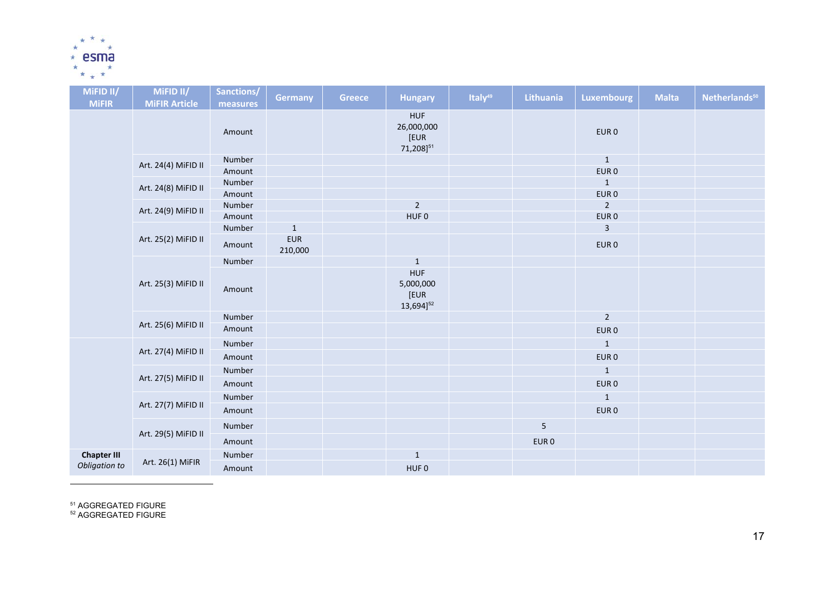

| MIFID <sub>II</sub> / | MIFID <sub>II</sub> / | Sanctions/ | Germany               | <b>Greece</b> | <b>Hungary</b>                                            | Italy <sup>49</sup> | Lithuania        | <b>Luxembourg</b> | <b>Malta</b> | Netherlands <sup>50</sup> |
|-----------------------|-----------------------|------------|-----------------------|---------------|-----------------------------------------------------------|---------------------|------------------|-------------------|--------------|---------------------------|
| <b>MiFIR</b>          | <b>MiFIR Article</b>  | measures   |                       |               |                                                           |                     |                  |                   |              |                           |
|                       |                       | Amount     |                       |               | <b>HUF</b><br>26,000,000<br>[EUR<br>71,208] <sup>51</sup> |                     |                  | EUR <sub>0</sub>  |              |                           |
|                       | Art. 24(4) MiFID II   | Number     |                       |               |                                                           |                     |                  | $\mathbf{1}$      |              |                           |
|                       |                       | Amount     |                       |               |                                                           |                     |                  | EUR <sub>0</sub>  |              |                           |
|                       | Art. 24(8) MiFID II   | Number     |                       |               |                                                           |                     |                  | $\mathbf{1}$      |              |                           |
|                       |                       | Amount     |                       |               |                                                           |                     |                  | EUR <sub>0</sub>  |              |                           |
|                       | Art. 24(9) MiFID II   | Number     |                       |               | $\sqrt{2}$                                                |                     |                  | $\overline{2}$    |              |                           |
|                       |                       | Amount     |                       |               | HUF <sub>0</sub>                                          |                     |                  | EUR <sub>0</sub>  |              |                           |
|                       |                       | Number     | $\mathbf{1}$          |               |                                                           |                     |                  | 3                 |              |                           |
|                       | Art. 25(2) MiFID II   | Amount     | <b>EUR</b><br>210,000 |               |                                                           |                     |                  | EUR <sub>0</sub>  |              |                           |
|                       |                       | Number     |                       |               | $\mathbf{1}$                                              |                     |                  |                   |              |                           |
|                       | Art. 25(3) MiFID II   | Amount     |                       |               | <b>HUF</b><br>5,000,000<br>[EUR<br>13,694] <sup>52</sup>  |                     |                  |                   |              |                           |
|                       |                       | Number     |                       |               |                                                           |                     |                  | $\overline{2}$    |              |                           |
|                       | Art. 25(6) MiFID II   | Amount     |                       |               |                                                           |                     |                  | EUR <sub>0</sub>  |              |                           |
|                       |                       | Number     |                       |               |                                                           |                     |                  | $\mathbf{1}$      |              |                           |
|                       | Art. 27(4) MiFID II   | Amount     |                       |               |                                                           |                     |                  | EUR <sub>0</sub>  |              |                           |
|                       |                       | Number     |                       |               |                                                           |                     |                  | $\mathbf{1}$      |              |                           |
|                       | Art. 27(5) MiFID II   | Amount     |                       |               |                                                           |                     |                  | EUR <sub>0</sub>  |              |                           |
|                       |                       | Number     |                       |               |                                                           |                     |                  | $\mathbf{1}$      |              |                           |
|                       | Art. 27(7) MiFID II   | Amount     |                       |               |                                                           |                     |                  | EUR <sub>0</sub>  |              |                           |
|                       |                       | Number     |                       |               |                                                           |                     | 5                |                   |              |                           |
|                       | Art. 29(5) MiFID II   | Amount     |                       |               |                                                           |                     | EUR <sub>0</sub> |                   |              |                           |
| <b>Chapter III</b>    |                       | Number     |                       |               | $\mathbf{1}$                                              |                     |                  |                   |              |                           |
| Obligation to         | Art. 26(1) MiFIR      | Amount     |                       |               | HUF <sub>0</sub>                                          |                     |                  |                   |              |                           |

<sup>51</sup> AGGREGATED FIGURE<br><sup>52</sup> AGGREGATED FIGURE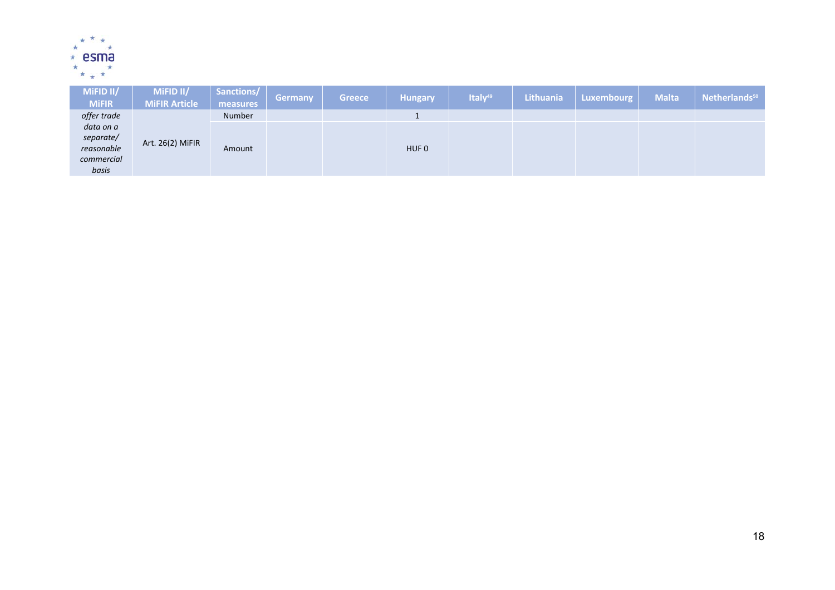

| MIFID <sub>II</sub> /<br><b>MiFIR</b>                       | MiFID II/<br><b>MiFIR Article</b> | Sanctions/<br>measures | Germany | <b>Greece</b> | <b>Hungary</b>   | Italy <sup>49</sup> | Lithuania | Luxembourg | <b>Malta</b> | Netherlands <sup>50</sup> |
|-------------------------------------------------------------|-----------------------------------|------------------------|---------|---------------|------------------|---------------------|-----------|------------|--------------|---------------------------|
| offer trade                                                 |                                   | Number                 |         |               |                  |                     |           |            |              |                           |
| data on a<br>separate/<br>reasonable<br>commercial<br>basis | Art. 26(2) MiFIR                  | Amount                 |         |               | HUF <sub>0</sub> |                     |           |            |              |                           |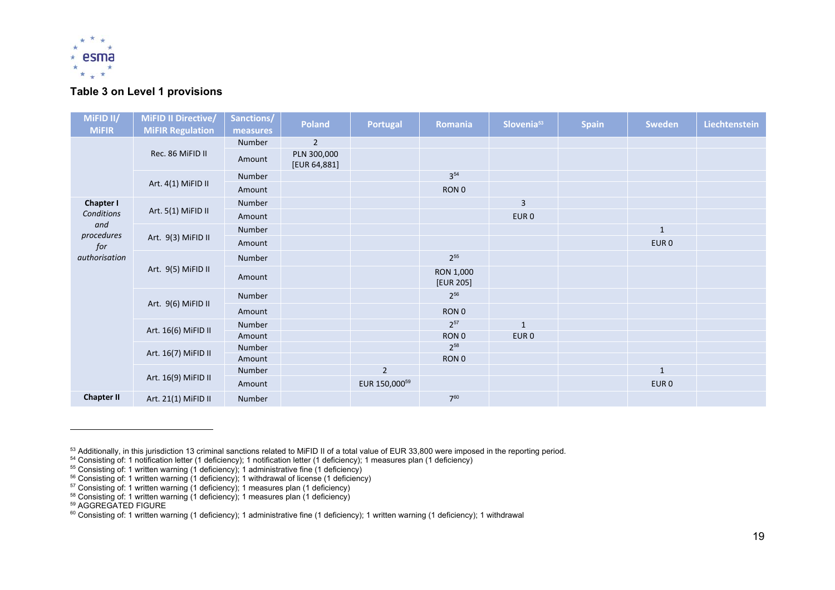

#### **Table 3 on Level 1 provisions**

| MIFID II/         | <b>MiFID II Directive/</b> | Sanctions/ | <b>Poland</b>               | <b>Portugal</b> | Romania                | Slovenia <sup>53</sup> | <b>Spain</b> | Sweden           | Liechtenstein |
|-------------------|----------------------------|------------|-----------------------------|-----------------|------------------------|------------------------|--------------|------------------|---------------|
| <b>MiFIR</b>      | <b>MiFIR Regulation</b>    | measures   |                             |                 |                        |                        |              |                  |               |
|                   |                            | Number     | $\overline{2}$              |                 |                        |                        |              |                  |               |
|                   | Rec. 86 MiFID II           | Amount     | PLN 300,000<br>[EUR 64,881] |                 |                        |                        |              |                  |               |
|                   |                            | Number     |                             |                 | $3^{54}$               |                        |              |                  |               |
|                   | Art. 4(1) MiFID II         | Amount     |                             |                 | RON 0                  |                        |              |                  |               |
| <b>Chapter I</b>  |                            | Number     |                             |                 |                        | 3                      |              |                  |               |
| Conditions        | Art. 5(1) MiFID II         | Amount     |                             |                 |                        | EUR <sub>0</sub>       |              |                  |               |
| and               |                            | Number     |                             |                 |                        |                        |              | $\mathbf{1}$     |               |
| procedures<br>for | Art. 9(3) MiFID II         | Amount     |                             |                 |                        |                        |              | EUR <sub>0</sub> |               |
| authorisation     | Art. 9(5) MiFID II         | Number     |                             |                 | $2^{55}$               |                        |              |                  |               |
|                   |                            | Amount     |                             |                 | RON 1,000<br>[EUR 205] |                        |              |                  |               |
|                   |                            | Number     |                             |                 | $2^{56}$               |                        |              |                  |               |
|                   | Art. 9(6) MiFID II         | Amount     |                             |                 | RON 0                  |                        |              |                  |               |
|                   |                            | Number     |                             |                 | $2^{57}$               | $\mathbf{1}$           |              |                  |               |
|                   | Art. 16(6) MiFID II        | Amount     |                             |                 | RON 0                  | EUR <sub>0</sub>       |              |                  |               |
|                   | Art. 16(7) MiFID II        | Number     |                             |                 | $2^{58}$               |                        |              |                  |               |
|                   |                            | Amount     |                             |                 | RON 0                  |                        |              |                  |               |
|                   |                            | Number     |                             | $\overline{2}$  |                        |                        |              | $\mathbf{1}$     |               |
|                   | Art. 16(9) MiFID II        | Amount     |                             | EUR 150,00059   |                        |                        |              | EUR <sub>0</sub> |               |
| <b>Chapter II</b> | Art. 21(1) MiFID II        | Number     |                             |                 | $7^{60}$               |                        |              |                  |               |

<sup>&</sup>lt;sup>53</sup> Additionally, in this jurisdiction 13 criminal sanctions related to MiFID II of a total value of EUR 33,800 were imposed in the reporting period.

 $54$  Consisting of: 1 notification letter (1 deficiency); 1 notification letter (1 deficiency); 1 measures plan (1 deficiency)

 $55$  Consisting of: 1 written warning (1 deficiency); 1 administrative fine (1 deficiency)

 $56$  Consisting of: 1 written warning (1 deficiency); 1 withdrawal of license (1 deficiency)

 $57$  Consisting of: 1 written warning (1 deficiency); 1 measures plan (1 deficiency)

<sup>&</sup>lt;sup>58</sup> Consisting of: 1 written warning (1 deficiency); 1 measures plan (1 deficiency)<br><sup>59</sup> AGGREGATED FIGURE

<sup>60</sup> Consisting of: 1 written warning (1 deficiency); 1 administrative fine (1 deficiency); 1 written warning (1 deficiency); 1 withdrawal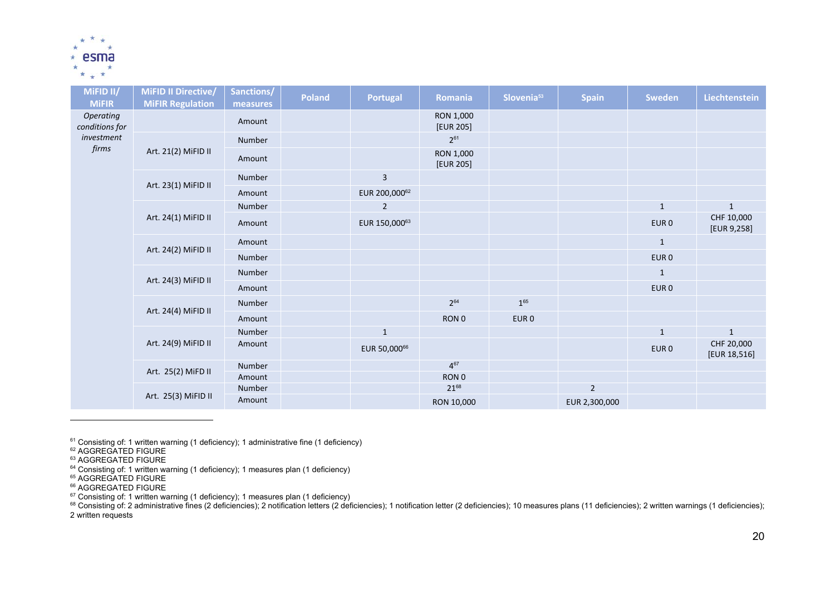

| MIFID II/<br><b>MIFIR</b>   | MiFID II Directive/<br><b>MiFIR Regulation</b> | Sanctions/<br>measures | <b>Poland</b> | Portugal      | Romania                | Slovenia <sup>53</sup> | <b>Spain</b>   | <b>Sweden</b>    | Liechtenstein              |
|-----------------------------|------------------------------------------------|------------------------|---------------|---------------|------------------------|------------------------|----------------|------------------|----------------------------|
| Operating<br>conditions for |                                                | Amount                 |               |               | RON 1,000<br>[EUR 205] |                        |                |                  |                            |
| investment                  |                                                | Number                 |               |               | $2^{61}$               |                        |                |                  |                            |
| firms                       | Art. 21(2) MiFID II                            | Amount                 |               |               | RON 1,000<br>[EUR 205] |                        |                |                  |                            |
|                             |                                                | Number                 |               | 3             |                        |                        |                |                  |                            |
|                             | Art. 23(1) MiFID II                            | Amount                 |               | EUR 200,00062 |                        |                        |                |                  |                            |
|                             |                                                | Number                 |               | $\mathbf 2$   |                        |                        |                | $\mathbf{1}$     | $\mathbf{1}$               |
|                             | Art. 24(1) MiFID II                            | Amount                 |               | EUR 150,00063 |                        |                        |                | EUR <sub>0</sub> | CHF 10,000<br>[EUR 9,258]  |
|                             | Art. 24(2) MiFID II                            | Amount                 |               |               |                        |                        |                | $\mathbf{1}$     |                            |
|                             |                                                | Number                 |               |               |                        |                        |                | EUR <sub>0</sub> |                            |
|                             |                                                | Number                 |               |               |                        |                        |                | $\mathbf{1}$     |                            |
|                             | Art. 24(3) MiFID II                            | Amount                 |               |               |                        |                        |                | EUR 0            |                            |
|                             |                                                | Number                 |               |               | $2^{64}$               | $1^{65}$               |                |                  |                            |
|                             | Art. 24(4) MiFID II                            | Amount                 |               |               | RON 0                  | EUR <sub>0</sub>       |                |                  |                            |
|                             |                                                | Number                 |               | $\mathbf 1$   |                        |                        |                | $\mathbf 1$      | $\mathbf{1}$               |
|                             | Art. 24(9) MiFID II                            | Amount                 |               | EUR 50,00066  |                        |                        |                | EUR <sub>0</sub> | CHF 20,000<br>[EUR 18,516] |
|                             | Art. 25(2) MiFD II                             | Number                 |               |               | $4^{67}$               |                        |                |                  |                            |
|                             |                                                | Amount                 |               |               | RON 0                  |                        |                |                  |                            |
|                             | Art. 25(3) MiFID II                            | Number                 |               |               | 2168                   |                        | $\overline{2}$ |                  |                            |
|                             |                                                | Amount                 |               |               | RON 10,000             |                        | EUR 2,300,000  |                  |                            |

<sup>61</sup> Consisting of: 1 written warning (1 deficiency); 1 administrative fine (1 deficiency)<br><sup>62</sup> AGGREGATED FIGURE

<sup>66</sup> AGGREGATED FIGURE<br><sup>67</sup> Consisting of: 1 written warning (1 deficiency); 1 measures plan (1 deficiency)

 $^{68}$  Consisting of: 2 administrative fines (2 deficiencies); 2 notification letters (2 deficiencies); 1 notification letter (2 deficiencies); 1 notification letter (2 deficiencies); 10 measures plans (11 deficiencies); 2 written requests

<sup>&</sup>lt;sup>63</sup> AGGREGATED FIGURE<br><sup>64</sup> Consisting of: 1 written warning (1 deficiency); 1 measures plan (1 deficiency)<br><sup>65</sup> AGGREGATED FIGURE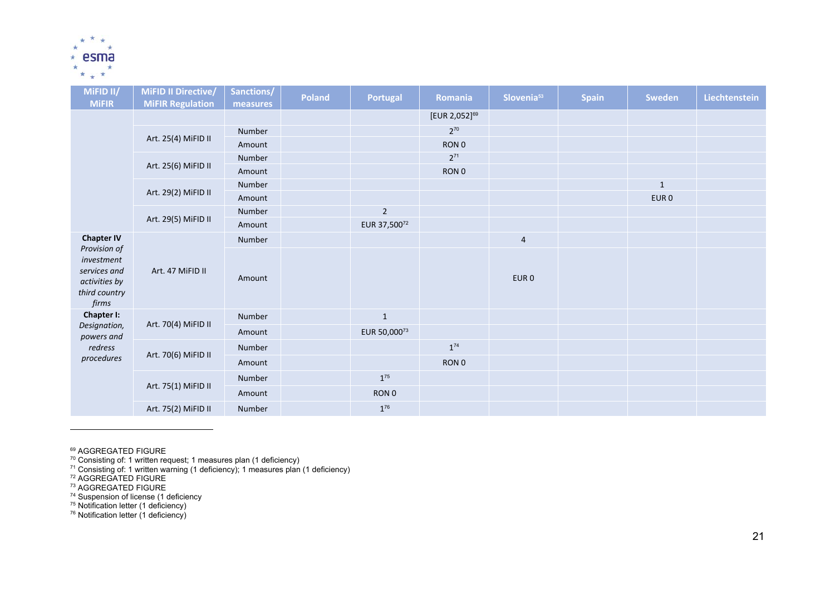

| MIFID II/                                                                             | <b>MiFID II Directive/</b> | Sanctions/ | <b>Poland</b> | Portugal          | Romania            | Slovenia <sup>53</sup> | <b>Spain</b> | Sweden           | Liechtenstein |
|---------------------------------------------------------------------------------------|----------------------------|------------|---------------|-------------------|--------------------|------------------------|--------------|------------------|---------------|
| <b>MiFIR</b>                                                                          | <b>MiFIR Regulation</b>    | measures   |               |                   | $[EUR 2,052]^{69}$ |                        |              |                  |               |
|                                                                                       |                            | Number     |               |                   | $2^{70}$           |                        |              |                  |               |
|                                                                                       | Art. 25(4) MiFID II        | Amount     |               |                   | RON <sub>0</sub>   |                        |              |                  |               |
|                                                                                       |                            | Number     |               |                   | $2^{71}$           |                        |              |                  |               |
|                                                                                       | Art. 25(6) MiFID II        | Amount     |               |                   | RON 0              |                        |              |                  |               |
|                                                                                       |                            | Number     |               |                   |                    |                        |              | $\mathbf{1}$     |               |
|                                                                                       | Art. 29(2) MiFID II        | Amount     |               |                   |                    |                        |              | EUR <sub>0</sub> |               |
|                                                                                       |                            | Number     |               | $\overline{2}$    |                    |                        |              |                  |               |
|                                                                                       | Art. 29(5) MiFID II        | Amount     |               | EUR 37,50072      |                    |                        |              |                  |               |
| <b>Chapter IV</b>                                                                     | Art. 47 MiFID II           | Number     |               |                   |                    | $\sqrt{4}$             |              |                  |               |
| Provision of<br>investment<br>services and<br>activities by<br>third country<br>firms |                            | Amount     |               |                   |                    | EUR <sub>0</sub>       |              |                  |               |
| Chapter I:                                                                            |                            | Number     |               | $1\,$             |                    |                        |              |                  |               |
| Designation,<br>powers and                                                            | Art. 70(4) MiFID II        | Amount     |               | EUR 50,00073      |                    |                        |              |                  |               |
| redress                                                                               |                            | Number     |               |                   | $1^{74}$           |                        |              |                  |               |
| procedures                                                                            | Art. 70(6) MiFID II        | Amount     |               |                   | RON 0              |                        |              |                  |               |
|                                                                                       |                            | Number     |               | $\mathbf{1}^{75}$ |                    |                        |              |                  |               |
|                                                                                       | Art. 75(1) MiFID II        | Amount     |               | RON 0             |                    |                        |              |                  |               |
|                                                                                       | Art. 75(2) MiFID II        | Number     |               | $1^{76}$          |                    |                        |              |                  |               |

<sup>69</sup> AGGREGATED FIGURE<br><sup>70</sup> Consisting of: 1 written request; 1 measures plan (1 deficiency)

<sup>71</sup> Consisting of: 1 written warning (1 deficiency); 1 measures plan (1 deficiency)<br><sup>72</sup> AGGREGATED FIGURE<br><sup>73</sup> AGGREGATED FIGURE<br><sup>74</sup> Suspension of license (1 deficiency

- 
- 
- 

75 Notification letter (1 deficiency)

<sup>76</sup> Notification letter (1 deficiency)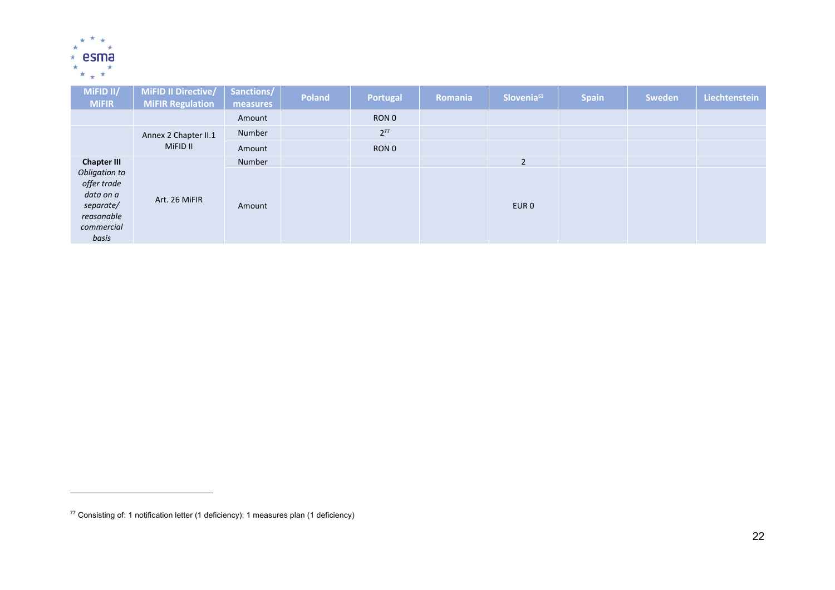

| MiFID II/<br><b>MiFIR</b>                                                                   | MiFID II Directive/<br><b>MiFIR Regulation</b> | Sanctions/<br>measures | <b>Poland</b> | <b>Portugal</b> | Romania | Slovenia <sup>53</sup> | <b>Spain</b> | Sweden | Liechtenstein |
|---------------------------------------------------------------------------------------------|------------------------------------------------|------------------------|---------------|-----------------|---------|------------------------|--------------|--------|---------------|
|                                                                                             |                                                | Amount                 |               | RON 0           |         |                        |              |        |               |
|                                                                                             | Annex 2 Chapter II.1                           | Number                 |               | $2^{77}$        |         |                        |              |        |               |
|                                                                                             | MiFID II                                       | Amount                 |               | RON 0           |         |                        |              |        |               |
| <b>Chapter III</b>                                                                          |                                                | Number                 |               |                 |         | $\overline{2}$         |              |        |               |
| Obligation to<br>offer trade<br>data on a<br>separate/<br>reasonable<br>commercial<br>basis | Art. 26 MiFIR                                  | Amount                 |               |                 |         | EUR <sub>0</sub>       |              |        |               |

 $77$  Consisting of: 1 notification letter (1 deficiency); 1 measures plan (1 deficiency)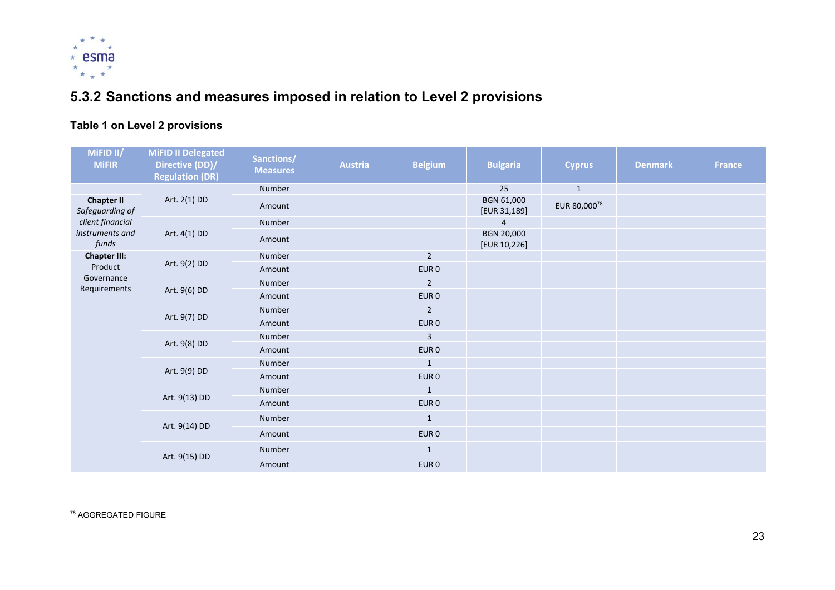

# **5.3.2 Sanctions and measures imposed in relation to Level 2 provisions**

## **Table 1 on Level 2 provisions**

| MiFID II/<br><b>MiFIR</b>                                  | <b>MiFID II Delegated</b><br>Directive (DD)/<br><b>Regulation (DR)</b> | Sanctions/<br><b>Measures</b> | <b>Austria</b> | <b>Belgium</b>   | <b>Bulgaria</b>            | <b>Cyprus</b> | <b>Denmark</b> | <b>France</b> |
|------------------------------------------------------------|------------------------------------------------------------------------|-------------------------------|----------------|------------------|----------------------------|---------------|----------------|---------------|
|                                                            |                                                                        | Number                        |                |                  | 25                         | $\mathbf{1}$  |                |               |
| <b>Chapter II</b><br>Safeguarding of                       | Art. 2(1) DD                                                           | Amount                        |                |                  | BGN 61,000<br>[EUR 31,189] | EUR 80,00078  |                |               |
| client financial                                           |                                                                        | Number                        |                |                  | 4                          |               |                |               |
| instruments and<br>funds<br><b>Chapter III:</b><br>Product | Art. 4(1) DD                                                           | Amount                        |                |                  | BGN 20,000<br>[EUR 10,226] |               |                |               |
|                                                            | Art. 9(2) DD                                                           | Number                        |                | $\overline{2}$   |                            |               |                |               |
|                                                            |                                                                        | Amount                        |                | EUR <sub>0</sub> |                            |               |                |               |
| Governance<br>Requirements                                 | Art. 9(6) DD                                                           | Number                        |                | $\overline{2}$   |                            |               |                |               |
|                                                            |                                                                        | Amount                        |                | EUR <sub>0</sub> |                            |               |                |               |
|                                                            | Art. 9(7) DD                                                           | Number                        |                | $\overline{2}$   |                            |               |                |               |
|                                                            |                                                                        | Amount                        |                | EUR <sub>0</sub> |                            |               |                |               |
|                                                            | Art. 9(8) DD                                                           | Number                        |                | 3                |                            |               |                |               |
|                                                            |                                                                        | Amount                        |                | EUR <sub>0</sub> |                            |               |                |               |
|                                                            |                                                                        | Number                        |                | $\mathbf{1}$     |                            |               |                |               |
|                                                            | Art. 9(9) DD                                                           | Amount                        |                | EUR 0            |                            |               |                |               |
|                                                            |                                                                        | Number                        |                | $\mathbf{1}$     |                            |               |                |               |
|                                                            | Art. 9(13) DD                                                          | Amount                        |                | EUR <sub>0</sub> |                            |               |                |               |
|                                                            | Art. 9(14) DD                                                          | Number                        |                | $\mathbf{1}$     |                            |               |                |               |
|                                                            |                                                                        | Amount                        |                | EUR 0            |                            |               |                |               |
|                                                            | Art. 9(15) DD                                                          | Number                        |                | $\mathbf{1}$     |                            |               |                |               |
|                                                            |                                                                        | Amount                        |                | EUR <sub>0</sub> |                            |               |                |               |

78 AGGREGATED FIGURE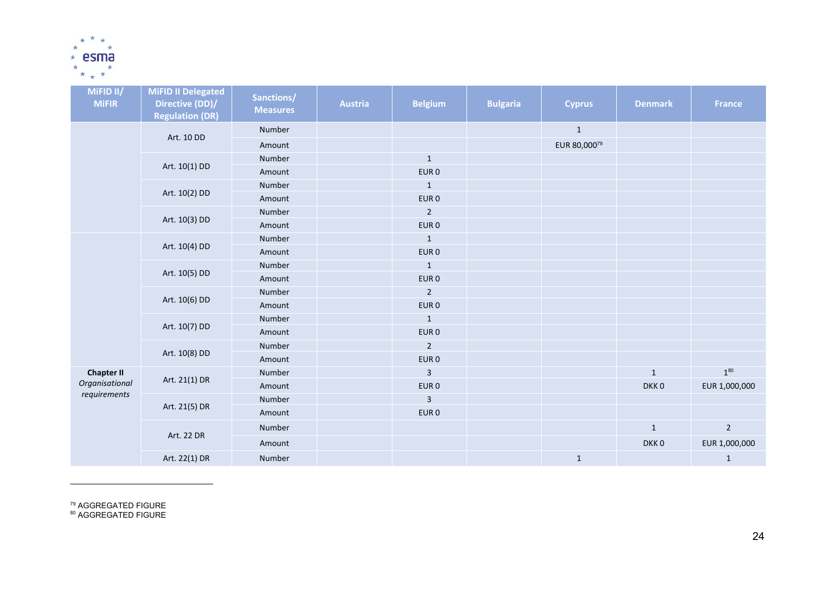

| MIFID II/<br><b>MiFIR</b>      | <b>MiFID II Delegated</b><br>Directive (DD)/<br><b>Regulation (DR)</b> | Sanctions/<br><b>Measures</b> | <b>Austria</b> | <b>Belgium</b>   | <b>Bulgaria</b> | <b>Cyprus</b> | <b>Denmark</b>   | <b>France</b> |
|--------------------------------|------------------------------------------------------------------------|-------------------------------|----------------|------------------|-----------------|---------------|------------------|---------------|
|                                |                                                                        | Number                        |                |                  |                 | $\mathbf 1$   |                  |               |
|                                | Art. 10 DD                                                             | Amount                        |                |                  |                 | EUR 80,00079  |                  |               |
|                                |                                                                        | Number                        |                | $\mathbf{1}$     |                 |               |                  |               |
|                                | Art. 10(1) DD                                                          | Amount                        |                | EUR <sub>0</sub> |                 |               |                  |               |
|                                |                                                                        | Number                        |                | $\mathbf{1}$     |                 |               |                  |               |
|                                | Art. 10(2) DD                                                          | Amount                        |                | EUR <sub>0</sub> |                 |               |                  |               |
|                                |                                                                        | Number                        |                | $\overline{2}$   |                 |               |                  |               |
|                                | Art. 10(3) DD                                                          | Amount                        |                | EUR <sub>0</sub> |                 |               |                  |               |
|                                | Art. 10(4) DD                                                          | Number                        |                | $\mathbf{1}$     |                 |               |                  |               |
|                                |                                                                        | Amount                        |                | EUR <sub>0</sub> |                 |               |                  |               |
|                                | Art. 10(5) DD                                                          | Number                        |                | $\mathbf{1}$     |                 |               |                  |               |
|                                |                                                                        | Amount                        |                | EUR <sub>0</sub> |                 |               |                  |               |
|                                | Art. 10(6) DD                                                          | Number                        |                | $\overline{2}$   |                 |               |                  |               |
|                                |                                                                        | Amount                        |                | EUR <sub>0</sub> |                 |               |                  |               |
|                                | Art. 10(7) DD                                                          | Number                        |                | $\mathbf{1}$     |                 |               |                  |               |
|                                |                                                                        | Amount                        |                | EUR <sub>0</sub> |                 |               |                  |               |
|                                | Art. 10(8) DD                                                          | Number                        |                | $\overline{2}$   |                 |               |                  |               |
|                                |                                                                        | Amount                        |                | EUR <sub>0</sub> |                 |               |                  |               |
| <b>Chapter II</b>              | Art. 21(1) DR                                                          | Number                        |                | $\overline{3}$   |                 |               | $\mathbf{1}$     | $1^{80}$      |
| Organisational<br>requirements |                                                                        | Amount                        |                | EUR <sub>0</sub> |                 |               | DKK <sub>0</sub> | EUR 1,000,000 |
|                                | Art. 21(5) DR                                                          | Number                        |                | 3                |                 |               |                  |               |
|                                |                                                                        | Amount                        |                | EUR <sub>0</sub> |                 |               |                  |               |
|                                |                                                                        | Number                        |                |                  |                 |               | $\mathbf 1$      | $2^{\circ}$   |
|                                | Art. 22 DR                                                             | Amount                        |                |                  |                 |               | DKK <sub>0</sub> | EUR 1,000,000 |
|                                | Art. 22(1) DR                                                          | Number                        |                |                  |                 | $1\,$         |                  | $\mathbf{1}$  |

<sup>79</sup> AGGREGATED FIGURE<br><sup>80</sup> AGGREGATED FIGURE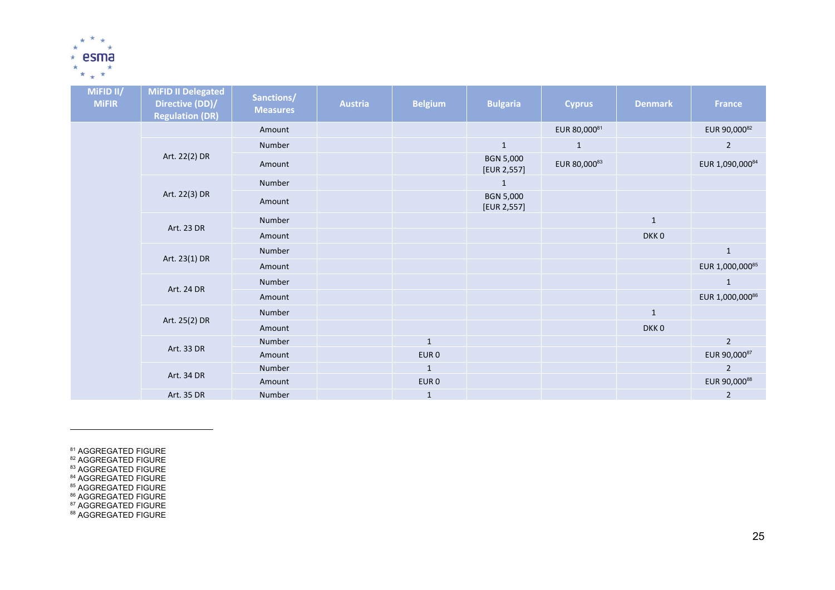

| MiFID II/<br><b>MiFIR</b> | MiFID II Delegated<br>Directive (DD)/<br><b>Regulation (DR)</b> | Sanctions/<br><b>Measures</b> | <b>Austria</b> | <b>Belgium</b>   | <b>Bulgaria</b>                 | <b>Cyprus</b> | <b>Denmark</b> | <b>France</b>   |
|---------------------------|-----------------------------------------------------------------|-------------------------------|----------------|------------------|---------------------------------|---------------|----------------|-----------------|
|                           |                                                                 | Amount                        |                |                  |                                 | EUR 80,00081  |                | EUR 90,00082    |
|                           |                                                                 | Number                        |                |                  | $\mathbf 1$                     | $\mathbf{1}$  |                | $\overline{2}$  |
|                           | Art. 22(2) DR                                                   | Amount                        |                |                  | <b>BGN 5,000</b><br>[EUR 2,557] | EUR 80,00083  |                | EUR 1,090,00084 |
|                           |                                                                 | Number                        |                |                  | $\mathbf{1}$                    |               |                |                 |
|                           | Art. 22(3) DR                                                   | Amount                        |                |                  | <b>BGN 5,000</b><br>[EUR 2,557] |               |                |                 |
|                           | Art. 23 DR                                                      | Number                        |                |                  |                                 |               | $\mathbf{1}$   |                 |
|                           |                                                                 | Amount                        |                |                  |                                 |               | DKK0           |                 |
|                           |                                                                 | Number                        |                |                  |                                 |               |                | $\mathbf{1}$    |
|                           | Art. 23(1) DR                                                   | Amount                        |                |                  |                                 |               |                | EUR 1,000,00085 |
|                           |                                                                 | Number                        |                |                  |                                 |               |                | $\mathbf{1}$    |
|                           | Art. 24 DR                                                      | Amount                        |                |                  |                                 |               |                | EUR 1,000,00086 |
|                           |                                                                 | Number                        |                |                  |                                 |               | $\mathbf{1}$   |                 |
|                           | Art. 25(2) DR                                                   | Amount                        |                |                  |                                 |               | DKK0           |                 |
|                           |                                                                 | Number                        |                | $\mathbf{1}$     |                                 |               |                | $\sqrt{2}$      |
|                           | Art. 33 DR                                                      | Amount                        |                | EUR <sub>0</sub> |                                 |               |                | EUR 90,00087    |
|                           |                                                                 | Number                        |                | $\mathbf{1}$     |                                 |               |                | $\overline{2}$  |
|                           | Art. 34 DR                                                      | Amount                        |                | EUR <sub>0</sub> |                                 |               |                | EUR 90,00088    |
|                           | Art. 35 DR                                                      | Number                        |                | $\mathbf{1}$     |                                 |               |                | $\overline{2}$  |

<sup>81</sup> AGGREGATED FIGURE<br><sup>82</sup> AGGREGATED FIGURE<br><sup>84</sup> AGGREGATED FIGURE<br><sup>84</sup> AGGREGATED FIGURE<br><sup>86</sup> AGGREGATED FIGURE<br><sup>87</sup> AGGREGATED FIGURE<br><sup>87</sup> AGGREGATED FIGURE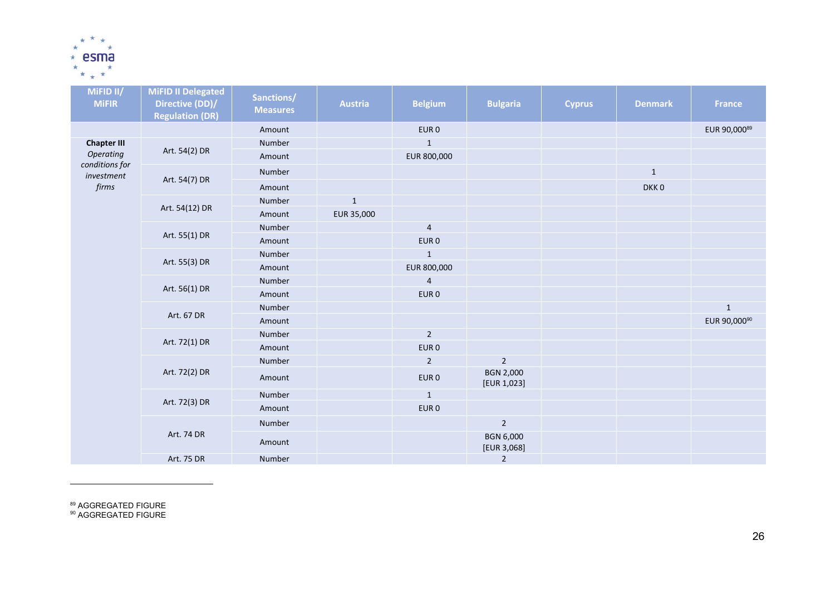

| MiFID II/<br><b>MiFIR</b>                        | <b>MiFID II Delegated</b><br>Directive (DD)/<br><b>Regulation (DR)</b> | Sanctions/<br><b>Measures</b> | <b>Austria</b> | <b>Belgium</b>   | <b>Bulgaria</b>                 | <b>Cyprus</b> | <b>Denmark</b>   | <b>France</b> |
|--------------------------------------------------|------------------------------------------------------------------------|-------------------------------|----------------|------------------|---------------------------------|---------------|------------------|---------------|
|                                                  |                                                                        | Amount                        |                | EUR <sub>0</sub> |                                 |               |                  | EUR 90,00089  |
| <b>Chapter III</b>                               |                                                                        | Number                        |                | $\mathbf{1}$     |                                 |               |                  |               |
| <b>Operating</b><br>conditions for<br>investment | Art. 54(2) DR                                                          | Amount                        |                | EUR 800,000      |                                 |               |                  |               |
|                                                  |                                                                        | Number                        |                |                  |                                 |               | $\mathbf{1}$     |               |
| firms                                            | Art. 54(7) DR                                                          | Amount                        |                |                  |                                 |               | DKK <sub>0</sub> |               |
|                                                  |                                                                        | Number                        | $\mathbf 1$    |                  |                                 |               |                  |               |
|                                                  | Art. 54(12) DR                                                         | Amount                        | EUR 35,000     |                  |                                 |               |                  |               |
|                                                  |                                                                        | Number                        |                | $\overline{a}$   |                                 |               |                  |               |
|                                                  | Art. 55(1) DR                                                          | Amount                        |                | EUR <sub>0</sub> |                                 |               |                  |               |
|                                                  | Art. 55(3) DR                                                          | Number                        |                | $\mathbf{1}$     |                                 |               |                  |               |
|                                                  |                                                                        | Amount                        |                | EUR 800,000      |                                 |               |                  |               |
|                                                  | Art. 56(1) DR                                                          | Number                        |                | $\overline{4}$   |                                 |               |                  |               |
|                                                  |                                                                        | Amount                        |                | EUR <sub>0</sub> |                                 |               |                  |               |
|                                                  |                                                                        | Number                        |                |                  |                                 |               |                  | $\mathbf 1$   |
|                                                  | Art. 67 DR                                                             | Amount                        |                |                  |                                 |               |                  | EUR 90,00090  |
|                                                  | Art. 72(1) DR                                                          | Number                        |                | $\overline{2}$   |                                 |               |                  |               |
|                                                  |                                                                        | Amount                        |                | EUR <sub>0</sub> |                                 |               |                  |               |
|                                                  |                                                                        | Number                        |                | $\overline{2}$   | $\overline{2}$                  |               |                  |               |
|                                                  | Art. 72(2) DR                                                          | Amount                        |                | EUR <sub>0</sub> | <b>BGN 2,000</b><br>[EUR 1,023] |               |                  |               |
|                                                  | Art. 72(3) DR                                                          | Number                        |                | $\mathbf{1}$     |                                 |               |                  |               |
|                                                  |                                                                        | Amount                        |                | EUR <sub>0</sub> |                                 |               |                  |               |
|                                                  |                                                                        | Number                        |                |                  | $\sqrt{2}$                      |               |                  |               |
|                                                  | Art. 74 DR                                                             | Amount                        |                |                  | <b>BGN 6,000</b><br>[EUR 3,068] |               |                  |               |
|                                                  | Art. 75 DR                                                             | Number                        |                |                  | $\overline{2}$                  |               |                  |               |

<sup>89</sup> AGGREGATED FIGURE<br><sup>90</sup> AGGREGATED FIGURE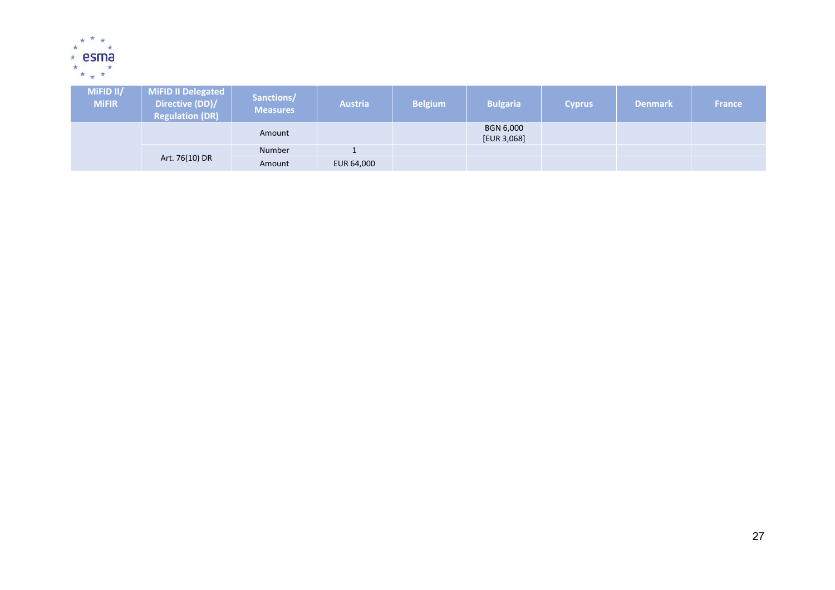

| MiFID II/<br><b>MiFIR</b> | MiFID II Delegated<br>Directive (DD)/<br><b>Regulation (DR)</b> | Sanctions/<br><b>Measures</b> | <b>Austria</b> | <b>Belgium</b> | <b>Bulgaria</b>          | <b>Cyprus</b> | <b>Denmark</b> | <b>France</b> |
|---------------------------|-----------------------------------------------------------------|-------------------------------|----------------|----------------|--------------------------|---------------|----------------|---------------|
|                           |                                                                 | Amount                        |                |                | BGN 6,000<br>[EUR 3,068] |               |                |               |
|                           |                                                                 | <b>Number</b>                 |                |                |                          |               |                |               |
|                           | Art. 76(10) DR                                                  | Amount                        | EUR 64,000     |                |                          |               |                |               |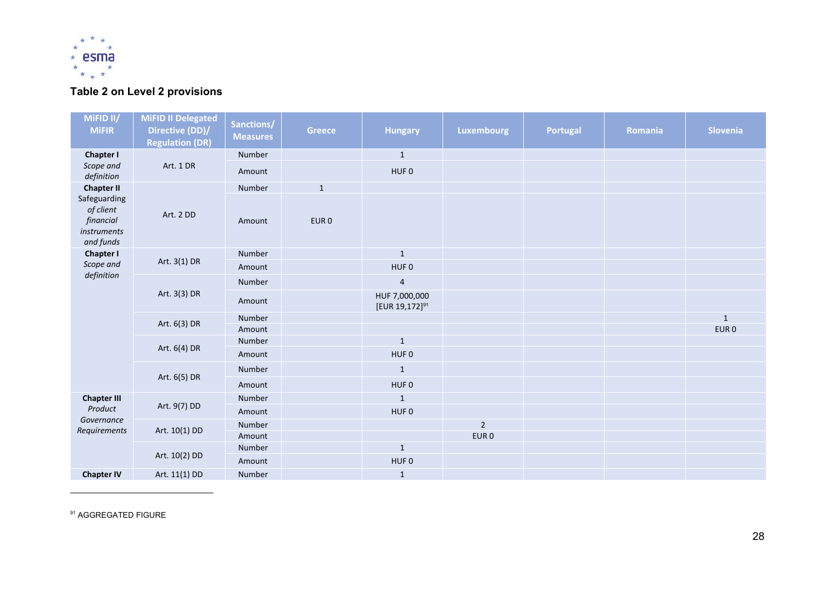

## **Table 2 on Level 2 provisions**

| MiFID II/<br><b>MiFIR</b>                                          | <b>MiFID II Delegated</b><br>Directive (DD)/<br><b>Regulation (DR)</b> | Sanctions/<br><b>Measures</b> | <b>Greece</b>    | <b>Hungary</b>                              | <b>Luxembourg</b> | <b>Portugal</b> | Romania | <b>Slovenia</b>  |
|--------------------------------------------------------------------|------------------------------------------------------------------------|-------------------------------|------------------|---------------------------------------------|-------------------|-----------------|---------|------------------|
| <b>Chapter I</b>                                                   |                                                                        | Number                        |                  | $\mathbf{1}$                                |                   |                 |         |                  |
| Scope and<br>definition                                            | Art. 1 DR                                                              | Amount                        |                  | HUF <sub>0</sub>                            |                   |                 |         |                  |
| <b>Chapter II</b>                                                  |                                                                        | Number                        | $\mathbf{1}$     |                                             |                   |                 |         |                  |
| Safeguarding<br>of client<br>financial<br>instruments<br>and funds | Art. 2 DD                                                              | Amount                        | EUR <sub>0</sub> |                                             |                   |                 |         |                  |
| <b>Chapter I</b>                                                   |                                                                        | Number                        |                  | $\mathbf{1}$                                |                   |                 |         |                  |
| Scope and                                                          | Art. 3(1) DR                                                           | Amount                        |                  | HUF <sub>0</sub>                            |                   |                 |         |                  |
| definition                                                         | Art. 3(3) DR                                                           | Number                        |                  | $\overline{a}$                              |                   |                 |         |                  |
|                                                                    |                                                                        | Amount                        |                  | HUF 7,000,000<br>[EUR 19,172] <sup>91</sup> |                   |                 |         |                  |
|                                                                    | Art. 6(3) DR                                                           | Number                        |                  |                                             |                   |                 |         | $\mathbf{1}$     |
|                                                                    |                                                                        | Amount                        |                  |                                             |                   |                 |         | EUR <sub>0</sub> |
|                                                                    | Art. 6(4) DR                                                           | Number                        |                  | $\mathbf 1$                                 |                   |                 |         |                  |
|                                                                    |                                                                        | Amount                        |                  | HUF <sub>0</sub>                            |                   |                 |         |                  |
|                                                                    | Art. 6(5) DR                                                           | Number                        |                  | $1\,$                                       |                   |                 |         |                  |
|                                                                    |                                                                        | Amount                        |                  | HUF <sub>0</sub>                            |                   |                 |         |                  |
| <b>Chapter III</b>                                                 |                                                                        | Number                        |                  | $\mathbf{1}$                                |                   |                 |         |                  |
| Product                                                            | Art. 9(7) DD                                                           | Amount                        |                  | HUF <sub>0</sub>                            |                   |                 |         |                  |
| Governance<br>Requirements                                         | Art. 10(1) DD                                                          | Number                        |                  |                                             | $\overline{2}$    |                 |         |                  |
|                                                                    |                                                                        | Amount                        |                  |                                             | EUR <sub>0</sub>  |                 |         |                  |
|                                                                    | Art. 10(2) DD                                                          | Number                        |                  | $1\,$                                       |                   |                 |         |                  |
|                                                                    |                                                                        | Amount                        |                  | HUF <sub>0</sub>                            |                   |                 |         |                  |
| <b>Chapter IV</b>                                                  | Art. 11(1) DD                                                          | Number                        |                  | $\mathbf{1}$                                |                   |                 |         |                  |

**91 AGGREGATED FIGURE**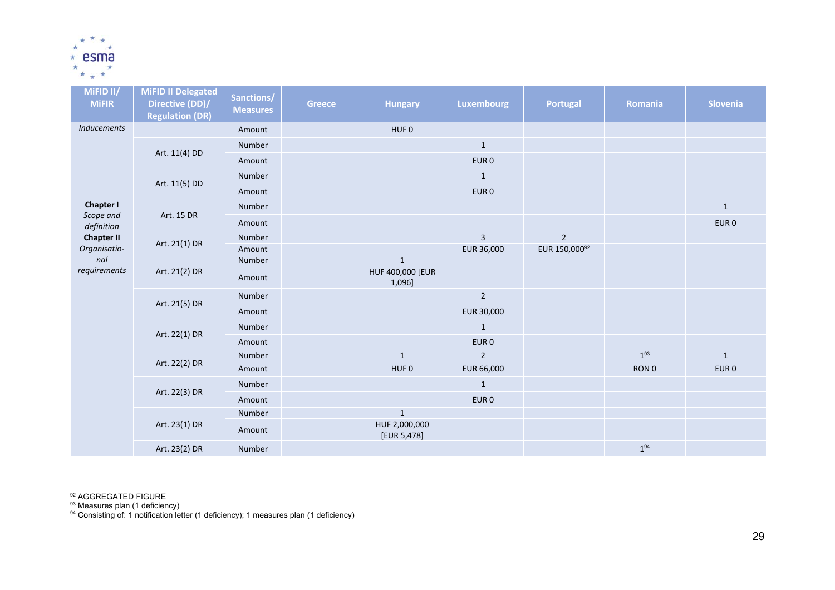

| MiFID II/<br><b>MiFIR</b> | <b>MiFID II Delegated</b><br>Directive (DD)/<br><b>Regulation (DR)</b> | Sanctions/<br><b>Measures</b> | <b>Greece</b> | <b>Hungary</b>               | Luxembourg       | <b>Portugal</b> | Romania  | Slovenia         |
|---------------------------|------------------------------------------------------------------------|-------------------------------|---------------|------------------------------|------------------|-----------------|----------|------------------|
| <b>Inducements</b>        |                                                                        | Amount                        |               | HUF <sub>0</sub>             |                  |                 |          |                  |
|                           |                                                                        | Number                        |               |                              | $\mathbf{1}$     |                 |          |                  |
|                           | Art. 11(4) DD                                                          | Amount                        |               |                              | EUR <sub>0</sub> |                 |          |                  |
|                           |                                                                        | Number                        |               |                              | $\mathbf{1}$     |                 |          |                  |
| <b>Chapter I</b>          | Art. 11(5) DD                                                          | Amount                        |               |                              | EUR <sub>0</sub> |                 |          |                  |
|                           |                                                                        | Number                        |               |                              |                  |                 |          | $\mathbf{1}$     |
| Scope and<br>definition   | Art. 15 DR                                                             | Amount                        |               |                              |                  |                 |          | EUR <sub>0</sub> |
| <b>Chapter II</b>         |                                                                        | Number                        |               |                              | $\overline{3}$   | $\overline{2}$  |          |                  |
| Organisatio-              | Art. 21(1) DR                                                          | Amount                        |               |                              | EUR 36,000       | EUR 150,00092   |          |                  |
| nal                       | Art. 21(2) DR                                                          | Number                        |               | $1\,$                        |                  |                 |          |                  |
| requirements              |                                                                        | Amount                        |               | HUF 400,000 [EUR<br>1,096]   |                  |                 |          |                  |
|                           | Art. 21(5) DR                                                          | Number                        |               |                              | $\overline{2}$   |                 |          |                  |
|                           |                                                                        | Amount                        |               |                              | EUR 30,000       |                 |          |                  |
|                           |                                                                        | Number                        |               |                              | $\mathbf{1}$     |                 |          |                  |
|                           | Art. 22(1) DR                                                          | Amount                        |               |                              | EUR <sub>0</sub> |                 |          |                  |
|                           |                                                                        | Number                        |               | $1\,$                        | $\overline{2}$   |                 | $1^{93}$ | $\mathbf 1$      |
|                           | Art. 22(2) DR                                                          | Amount                        |               | HUF 0                        | EUR 66,000       |                 | RON 0    | EUR <sub>0</sub> |
|                           |                                                                        | Number                        |               |                              | $\mathbf{1}$     |                 |          |                  |
|                           | Art. 22(3) DR                                                          | Amount                        |               |                              | EUR <sub>0</sub> |                 |          |                  |
|                           |                                                                        | Number                        |               | $\mathbf 1$                  |                  |                 |          |                  |
|                           | Art. 23(1) DR                                                          | Amount                        |               | HUF 2,000,000<br>[EUR 5,478] |                  |                 |          |                  |
|                           | Art. 23(2) DR                                                          | Number                        |               |                              |                  |                 | $1^{94}$ |                  |

<sup>92</sup> AGGREGATED FIGURE<br><sup>93</sup> Measures plan (1 deficiency)

 $94$  Consisting of: 1 notification letter (1 deficiency); 1 measures plan (1 deficiency)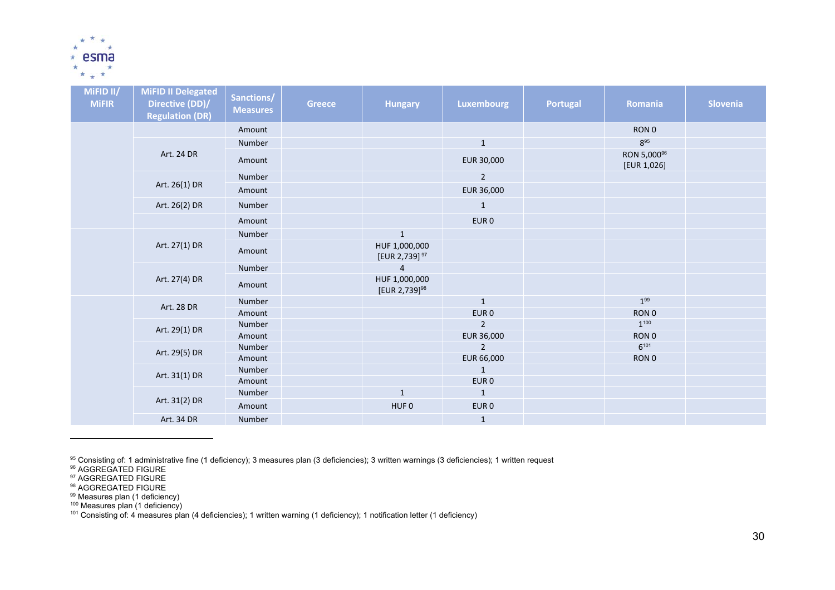

| MiFID II/<br><b>MiFIR</b> | <b>MiFID II Delegated</b><br>Directive (DD)/<br><b>Regulation (DR)</b> | Sanctions/<br><b>Measures</b> | <b>Greece</b> | <b>Hungary</b>                             | <b>Luxembourg</b>            | Portugal | Romania                                | Slovenia |
|---------------------------|------------------------------------------------------------------------|-------------------------------|---------------|--------------------------------------------|------------------------------|----------|----------------------------------------|----------|
|                           |                                                                        | Amount                        |               |                                            |                              |          | RON 0                                  |          |
|                           |                                                                        | Number                        |               |                                            | $\,1\,$                      |          | $8^{95}$                               |          |
|                           | Art. 24 DR                                                             | Amount                        |               |                                            | EUR 30,000                   |          | RON 5,000 <sup>96</sup><br>[EUR 1,026] |          |
|                           |                                                                        | Number                        |               |                                            | $\overline{2}$               |          |                                        |          |
|                           | Art. 26(1) DR                                                          | Amount                        |               |                                            | EUR 36,000                   |          |                                        |          |
|                           | Art. 26(2) DR                                                          | Number                        |               |                                            | $\mathbf{1}$                 |          |                                        |          |
|                           |                                                                        | Amount                        |               |                                            | EUR <sub>0</sub>             |          |                                        |          |
|                           |                                                                        | Number                        |               | $1\,$                                      |                              |          |                                        |          |
|                           | Art. 27(1) DR                                                          | Amount                        |               | HUF 1,000,000<br>[EUR 2,739] <sup>97</sup> |                              |          |                                        |          |
|                           |                                                                        | Number                        |               | $\overline{4}$                             |                              |          |                                        |          |
|                           | Art. 27(4) DR                                                          | Amount                        |               | HUF 1,000,000<br>[EUR 2,739] <sup>98</sup> |                              |          |                                        |          |
|                           | Art. 28 DR                                                             | Number                        |               |                                            | $\mathbf{1}$                 |          | $1^{99}$                               |          |
|                           |                                                                        | Amount                        |               |                                            | EUR <sub>0</sub>             |          | RON <sub>0</sub>                       |          |
|                           | Art. 29(1) DR                                                          | Number                        |               |                                            | $\overline{2}$               |          | $1^{100}$                              |          |
|                           |                                                                        | Amount                        |               |                                            | EUR 36,000                   |          | RON <sub>0</sub>                       |          |
|                           | Art. 29(5) DR                                                          | Number                        |               |                                            | $\overline{2}$<br>EUR 66,000 |          | $6^{101}$                              |          |
|                           |                                                                        | Amount<br>Number              |               |                                            | $\mathbf{1}$                 |          | RON 0                                  |          |
|                           | Art. 31(1) DR                                                          | Amount                        |               |                                            | EUR <sub>0</sub>             |          |                                        |          |
|                           |                                                                        | Number                        |               | $\mathbf{1}$                               | $\mathbf{1}$                 |          |                                        |          |
|                           | Art. 31(2) DR                                                          | Amount                        |               | HUF <sub>0</sub>                           | EUR <sub>0</sub>             |          |                                        |          |
|                           | Art. 34 DR                                                             | Number                        |               |                                            | $\mathbf{1}$                 |          |                                        |          |

<sup>95</sup> Consisting of: 1 administrative fine (1 deficiency); 3 measures plan (3 deficiencies); 3 written warnings (3 deficiencies); 1 written request<br><sup>96</sup> AGGREGATED FIGURE<br><sup>97</sup> AGGREGATED FIGURE<br><sup>98</sup> AGGREGATED FIGURE<br><sup>99</sup> M

- 
- 
- 
- 100 Measures plan (1 deficiency)

 $101$  Consisting of: 4 measures plan (4 deficiencies); 1 written warning (1 deficiency); 1 notification letter (1 deficiency)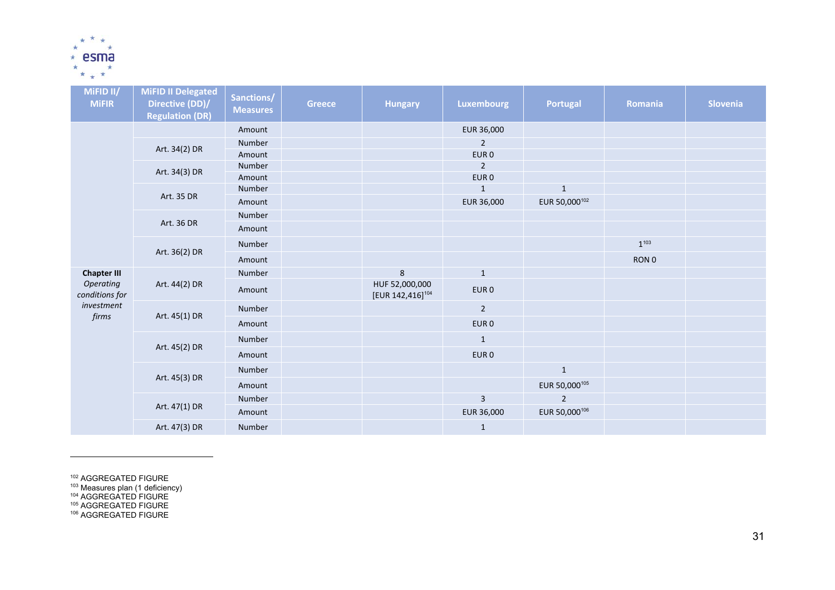

| MiFID II/<br><b>MiFIR</b>   | <b>MiFID II Delegated</b><br>Directive (DD)/<br><b>Regulation (DR)</b> | Sanctions/<br><b>Measures</b> | <b>Greece</b> | <b>Hungary</b>                                 | <b>Luxembourg</b>                  | <b>Portugal</b>           | Romania   | Slovenia |
|-----------------------------|------------------------------------------------------------------------|-------------------------------|---------------|------------------------------------------------|------------------------------------|---------------------------|-----------|----------|
|                             |                                                                        | Amount                        |               |                                                | EUR 36,000                         |                           |           |          |
|                             | Art. 34(2) DR                                                          | Number                        |               |                                                | $\overline{2}$                     |                           |           |          |
|                             |                                                                        | Amount                        |               |                                                | EUR <sub>0</sub>                   |                           |           |          |
|                             | Art. 34(3) DR                                                          | Number<br>Amount              |               |                                                | $\overline{2}$<br>EUR <sub>0</sub> |                           |           |          |
|                             |                                                                        | Number                        |               |                                                | $\mathbf{1}$                       | $\mathbf{1}$              |           |          |
|                             | Art. 35 DR                                                             | Amount                        |               |                                                | EUR 36,000                         | EUR 50,000 <sup>102</sup> |           |          |
|                             |                                                                        | Number                        |               |                                                |                                    |                           |           |          |
|                             | Art. 36 DR                                                             | Amount                        |               |                                                |                                    |                           |           |          |
|                             | Art. 36(2) DR                                                          | Number                        |               |                                                |                                    |                           | $1^{103}$ |          |
|                             |                                                                        | Amount                        |               |                                                |                                    |                           | RON 0     |          |
| <b>Chapter III</b>          |                                                                        | Number                        |               | $\,8\,$                                        | $\mathbf 1$                        |                           |           |          |
| Operating<br>conditions for | Art. 44(2) DR                                                          | Amount                        |               | HUF 52,000,000<br>[EUR 142,416] <sup>104</sup> | EUR <sub>0</sub>                   |                           |           |          |
| investment                  | Art. 45(1) DR                                                          | Number                        |               |                                                | $\overline{2}$                     |                           |           |          |
| firms                       |                                                                        | Amount                        |               |                                                | EUR <sub>0</sub>                   |                           |           |          |
|                             | Art. 45(2) DR                                                          | Number                        |               |                                                | $\mathbf{1}$                       |                           |           |          |
|                             |                                                                        | Amount                        |               |                                                | EUR <sub>0</sub>                   |                           |           |          |
|                             | Art. 45(3) DR                                                          | Number                        |               |                                                |                                    | $\mathbf{1}$              |           |          |
|                             |                                                                        | Amount                        |               |                                                |                                    | EUR 50,000 <sup>105</sup> |           |          |
|                             | Art. 47(1) DR                                                          | Number                        |               |                                                | $\mathsf 3$                        | 2                         |           |          |
|                             |                                                                        | Amount                        |               |                                                | EUR 36,000                         | EUR 50,000106             |           |          |
|                             | Art. 47(3) DR                                                          | Number                        |               |                                                | $\mathbf{1}$                       |                           |           |          |

<sup>102</sup> AGGREGATED FIGURE<br><sup>103</sup> Measures plan (1 deficiency)<br><sup>104</sup> AGGREGATED FIGURE<br><sup>105</sup> AGGREGATED FIGURE<br><sup>106</sup> AGGREGATED FIGURE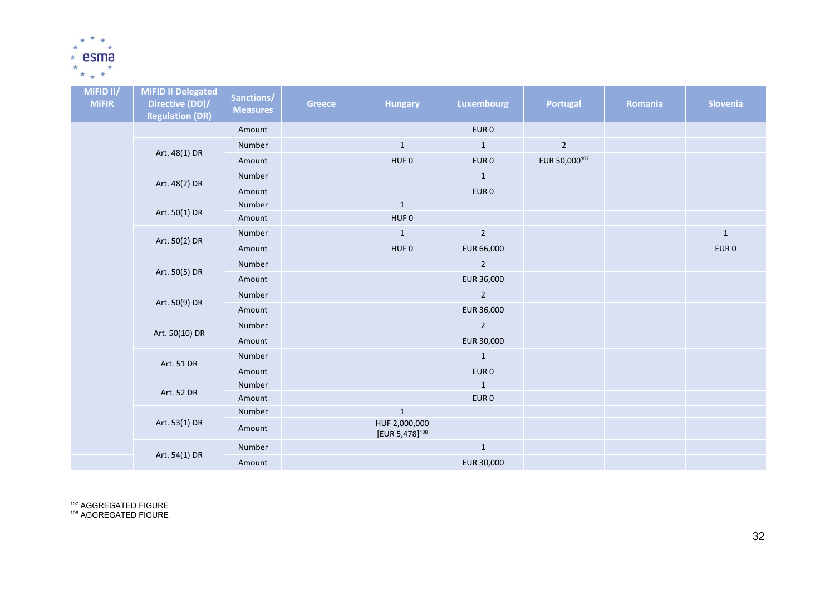

| MiFID II/<br><b>MiFIR</b> | <b>MiFID II Delegated</b><br>Directive (DD)/<br><b>Regulation (DR)</b> | Sanctions/<br><b>Measures</b> | <b>Greece</b> | <b>Hungary</b>                              | <b>Luxembourg</b> | <b>Portugal</b> | <b>Romania</b> | Slovenia         |
|---------------------------|------------------------------------------------------------------------|-------------------------------|---------------|---------------------------------------------|-------------------|-----------------|----------------|------------------|
|                           |                                                                        | Amount                        |               |                                             | EUR <sub>0</sub>  |                 |                |                  |
|                           |                                                                        | Number                        |               | $\mathbf{1}$                                | $\mathbf{1}$      | $\overline{2}$  |                |                  |
|                           | Art. 48(1) DR                                                          | Amount                        |               | HUF <sub>0</sub>                            | EUR <sub>0</sub>  | EUR 50,000107   |                |                  |
|                           |                                                                        | Number                        |               |                                             | $\mathbf{1}$      |                 |                |                  |
|                           | Art. 48(2) DR                                                          | Amount                        |               |                                             | EUR <sub>0</sub>  |                 |                |                  |
|                           | Art. 50(1) DR                                                          | Number                        |               | $1\,$                                       |                   |                 |                |                  |
|                           |                                                                        | Amount                        |               | HUF <sub>0</sub>                            |                   |                 |                |                  |
|                           | Art. 50(2) DR                                                          | Number                        |               | $\mathbf{1}$                                | $\overline{2}$    |                 |                | $\,1\,$          |
|                           |                                                                        | Amount                        |               | HUF <sub>0</sub>                            | EUR 66,000        |                 |                | EUR <sub>0</sub> |
|                           | Art. 50(5) DR                                                          | Number                        |               |                                             | $\overline{2}$    |                 |                |                  |
|                           |                                                                        | Amount                        |               |                                             | EUR 36,000        |                 |                |                  |
|                           | Art. 50(9) DR                                                          | Number                        |               |                                             | $\overline{2}$    |                 |                |                  |
|                           |                                                                        | Amount                        |               |                                             | EUR 36,000        |                 |                |                  |
|                           | Art. 50(10) DR                                                         | Number                        |               |                                             | $\overline{2}$    |                 |                |                  |
|                           |                                                                        | Amount                        |               |                                             | EUR 30,000        |                 |                |                  |
|                           |                                                                        | Number                        |               |                                             | $\mathbf{1}$      |                 |                |                  |
|                           | Art. 51 DR                                                             | Amount                        |               |                                             | EUR <sub>0</sub>  |                 |                |                  |
|                           | Art. 52 DR                                                             | Number                        |               |                                             | $\mathbf{1}$      |                 |                |                  |
|                           |                                                                        | Amount                        |               |                                             | EUR <sub>0</sub>  |                 |                |                  |
|                           |                                                                        | Number                        |               | $\mathbf 1$                                 |                   |                 |                |                  |
|                           | Art. 53(1) DR                                                          | Amount                        |               | HUF 2,000,000<br>[EUR 5,478] <sup>108</sup> |                   |                 |                |                  |
|                           | Art. 54(1) DR                                                          | Number                        |               |                                             | $\mathbf 1$       |                 |                |                  |
|                           |                                                                        | Amount                        |               |                                             | EUR 30,000        |                 |                |                  |

<sup>107</sup> AGGREGATED FIGURE<br><sup>108</sup> AGGREGATED FIGURE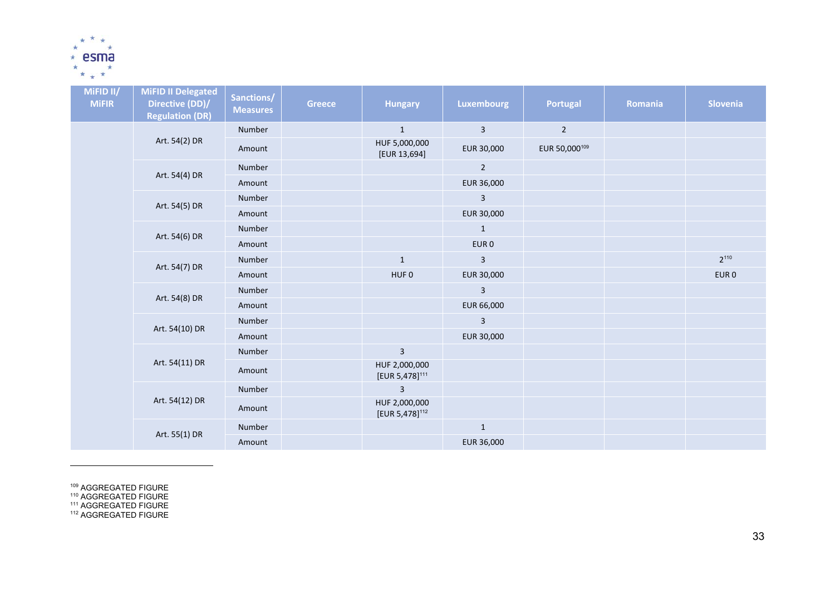

| MiFID II/<br><b>MiFIR</b> | <b>MiFID II Delegated</b><br>Directive (DD)/<br><b>Regulation (DR)</b> | Sanctions/<br><b>Measures</b> | <b>Greece</b> | <b>Hungary</b>                              | <b>Luxembourg</b>       | <b>Portugal</b> | Romania | Slovenia         |
|---------------------------|------------------------------------------------------------------------|-------------------------------|---------------|---------------------------------------------|-------------------------|-----------------|---------|------------------|
|                           |                                                                        | Number                        |               | $1\,$                                       | $\overline{\mathbf{3}}$ | $2^{\circ}$     |         |                  |
|                           | Art. 54(2) DR                                                          | Amount                        |               | HUF 5,000,000<br>[EUR 13,694]               | EUR 30,000              | EUR 50,000109   |         |                  |
|                           | Art. 54(4) DR                                                          | Number                        |               |                                             | $\overline{2}$          |                 |         |                  |
|                           |                                                                        | Amount                        |               |                                             | EUR 36,000              |                 |         |                  |
|                           | Art. 54(5) DR                                                          | Number                        |               |                                             | $\mathbf{3}$            |                 |         |                  |
|                           |                                                                        | Amount                        |               |                                             | EUR 30,000              |                 |         |                  |
|                           | Art. 54(6) DR                                                          | Number                        |               |                                             | $\mathbf{1}$            |                 |         |                  |
|                           |                                                                        | Amount                        |               |                                             | EUR <sub>0</sub>        |                 |         |                  |
|                           | Art. 54(7) DR                                                          | Number                        |               | $\mathbf 1$                                 | $\mathsf 3$             |                 |         | $2^{110}$        |
|                           |                                                                        | Amount                        |               | HUF <sub>0</sub>                            | EUR 30,000              |                 |         | EUR <sub>0</sub> |
|                           | Art. 54(8) DR                                                          | Number                        |               |                                             | $\overline{\mathbf{3}}$ |                 |         |                  |
|                           |                                                                        | Amount                        |               |                                             | EUR 66,000              |                 |         |                  |
|                           | Art. 54(10) DR                                                         | Number                        |               |                                             | $\mathbf{3}$            |                 |         |                  |
|                           |                                                                        | Amount                        |               |                                             | EUR 30,000              |                 |         |                  |
|                           |                                                                        | Number                        |               | $\overline{\mathbf{3}}$                     |                         |                 |         |                  |
|                           | Art. 54(11) DR                                                         | Amount                        |               | HUF 2,000,000<br>[EUR 5,478] <sup>111</sup> |                         |                 |         |                  |
|                           |                                                                        | Number                        |               | $\mathsf{3}$                                |                         |                 |         |                  |
|                           | Art. 54(12) DR                                                         | Amount                        |               | HUF 2,000,000<br>[EUR 5,478] <sup>112</sup> |                         |                 |         |                  |
|                           | Art. 55(1) DR                                                          | Number                        |               |                                             | $1\,$                   |                 |         |                  |
|                           |                                                                        | Amount                        |               |                                             | EUR 36,000              |                 |         |                  |

<sup>109</sup> AGGREGATED FIGURE<br><sup>110</sup> AGGREGATED FIGURE<br><sup>111</sup> AGGREGATED FIGURE<br><sup>112</sup> AGGREGATED FIGURE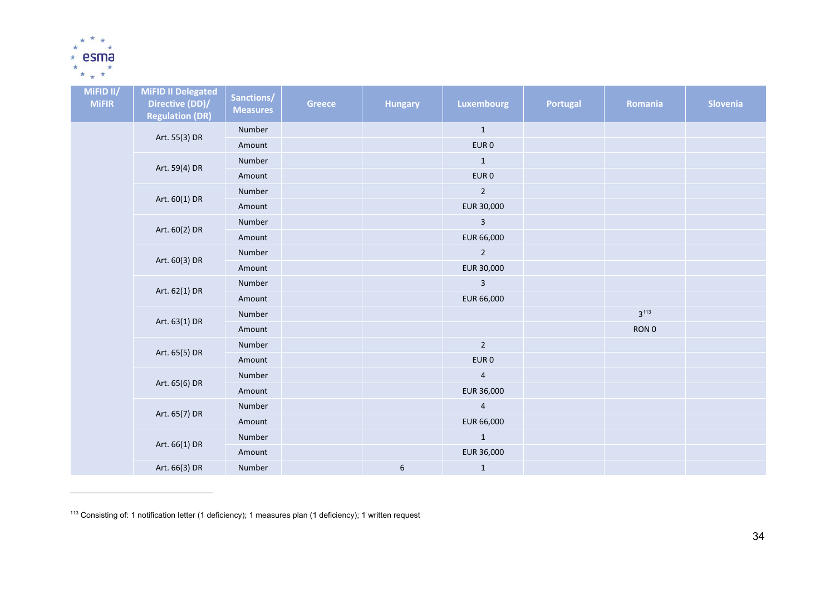

| MiFID II/<br><b>MiFIR</b> | <b>MiFID II Delegated</b><br>Directive (DD)/<br><b>Regulation (DR)</b> | Sanctions/<br><b>Measures</b> | <b>Greece</b> | <b>Hungary</b>   | Luxembourg       | Portugal | Romania   | Slovenia |
|---------------------------|------------------------------------------------------------------------|-------------------------------|---------------|------------------|------------------|----------|-----------|----------|
|                           | Art. 55(3) DR                                                          | Number                        |               |                  | $\mathbf{1}$     |          |           |          |
|                           |                                                                        | Amount                        |               |                  | EUR <sub>0</sub> |          |           |          |
|                           | Art. 59(4) DR                                                          | Number                        |               |                  | $\mathbf{1}$     |          |           |          |
|                           |                                                                        | Amount                        |               |                  | EUR <sub>0</sub> |          |           |          |
|                           | Art. 60(1) DR                                                          | Number                        |               |                  | $\overline{2}$   |          |           |          |
|                           |                                                                        | Amount                        |               |                  | EUR 30,000       |          |           |          |
|                           | Art. 60(2) DR                                                          | Number                        |               |                  | $\mathbf{3}$     |          |           |          |
|                           |                                                                        | Amount                        |               |                  | EUR 66,000       |          |           |          |
|                           | Art. 60(3) DR                                                          | Number                        |               |                  | $\overline{2}$   |          |           |          |
|                           |                                                                        | Amount                        |               |                  | EUR 30,000       |          |           |          |
|                           | Art. 62(1) DR                                                          | Number                        |               |                  | $\mathbf{3}$     |          |           |          |
|                           |                                                                        | Amount                        |               |                  | EUR 66,000       |          |           |          |
|                           | Art. 63(1) DR                                                          | Number                        |               |                  |                  |          | $3^{113}$ |          |
|                           |                                                                        | Amount                        |               |                  |                  |          | RON 0     |          |
|                           | Art. 65(5) DR                                                          | Number                        |               |                  | $\overline{2}$   |          |           |          |
|                           |                                                                        | Amount                        |               |                  | EUR <sub>0</sub> |          |           |          |
|                           | Art. 65(6) DR                                                          | Number                        |               |                  | $\overline{a}$   |          |           |          |
|                           |                                                                        | Amount                        |               |                  | EUR 36,000       |          |           |          |
|                           | Art. 65(7) DR                                                          | Number                        |               |                  | $\overline{4}$   |          |           |          |
|                           |                                                                        | Amount                        |               |                  | EUR 66,000       |          |           |          |
|                           | Art. 66(1) DR                                                          | Number                        |               |                  | $\mathbf{1}$     |          |           |          |
|                           |                                                                        | Amount                        |               |                  | EUR 36,000       |          |           |          |
|                           | Art. 66(3) DR                                                          | Number                        |               | $\boldsymbol{6}$ | $\mathbf{1}$     |          |           |          |

<sup>&</sup>lt;sup>113</sup> Consisting of: 1 notification letter (1 deficiency); 1 measures plan (1 deficiency); 1 written request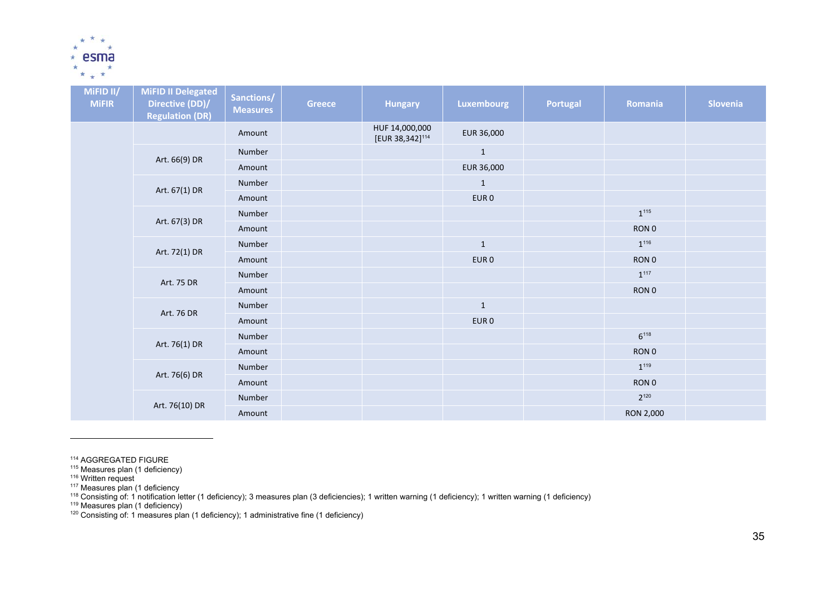

| MiFID II/<br><b>MiFIR</b> | <b>MiFID II Delegated</b><br>Directive (DD)/<br><b>Regulation (DR)</b> | Sanctions/<br><b>Measures</b> | <b>Greece</b> | <b>Hungary</b>                                | <b>Luxembourg</b> | Portugal | Romania          | Slovenia |
|---------------------------|------------------------------------------------------------------------|-------------------------------|---------------|-----------------------------------------------|-------------------|----------|------------------|----------|
|                           |                                                                        | Amount                        |               | HUF 14,000,000<br>[EUR 38,342] <sup>114</sup> | EUR 36,000        |          |                  |          |
|                           | Art. 66(9) DR                                                          | Number                        |               |                                               | $\mathbf 1$       |          |                  |          |
|                           |                                                                        | Amount                        |               |                                               | EUR 36,000        |          |                  |          |
|                           | Art. 67(1) DR                                                          | Number                        |               |                                               | $\mathbf{1}$      |          |                  |          |
|                           |                                                                        | Amount                        |               |                                               | EUR <sub>0</sub>  |          |                  |          |
|                           | Art. 67(3) DR                                                          | Number                        |               |                                               |                   |          | $1^{115}$        |          |
|                           |                                                                        | Amount                        |               |                                               |                   |          | RON <sub>0</sub> |          |
|                           | Art. 72(1) DR                                                          | Number                        |               |                                               | $\mathbf{1}$      |          | $1^{116}$        |          |
|                           |                                                                        | Amount                        |               |                                               | EUR <sub>0</sub>  |          | RON 0            |          |
|                           | Art. 75 DR                                                             | Number                        |               |                                               |                   |          | $1^{117}$        |          |
|                           |                                                                        | Amount                        |               |                                               |                   |          | RON 0            |          |
|                           | Art. 76 DR                                                             | Number                        |               |                                               | $\mathbf{1}$      |          |                  |          |
|                           |                                                                        | Amount                        |               |                                               | EUR <sub>0</sub>  |          |                  |          |
|                           | Art. 76(1) DR                                                          | Number                        |               |                                               |                   |          | $6^{118}$        |          |
|                           |                                                                        | Amount                        |               |                                               |                   |          | RON <sub>0</sub> |          |
|                           | Art. 76(6) DR                                                          | Number                        |               |                                               |                   |          | $1^{119}$        |          |
|                           |                                                                        | Amount                        |               |                                               |                   |          | RON 0            |          |
|                           | Art. 76(10) DR                                                         | Number                        |               |                                               |                   |          | $2^{120}$        |          |
|                           |                                                                        | Amount                        |               |                                               |                   |          | RON 2,000        |          |

<sup>114</sup> AGGREGATED FIGURE<br><sup>115</sup> Measures plan (1 deficiency)

<sup>116</sup> Written request

<sup>117</sup> Measures plan (1 deficiency

<sup>118</sup> Consisting of: 1 notification letter (1 deficiency); 3 measures plan (3 deficiencies); 1 written warning (1 deficiency); 1 written warning (1 deficiency)

<sup>119</sup> Measures plan (1 deficiency)

<sup>120</sup> Consisting of: 1 measures plan (1 deficiency); 1 administrative fine (1 deficiency)